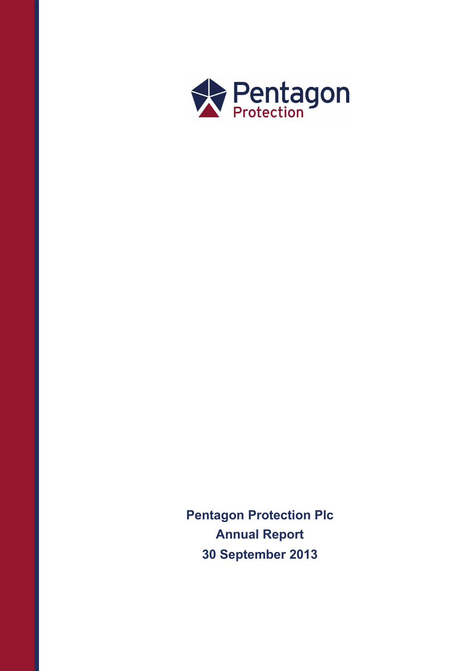

**Pentagon Protection Plc Annual Report 30 September 2013**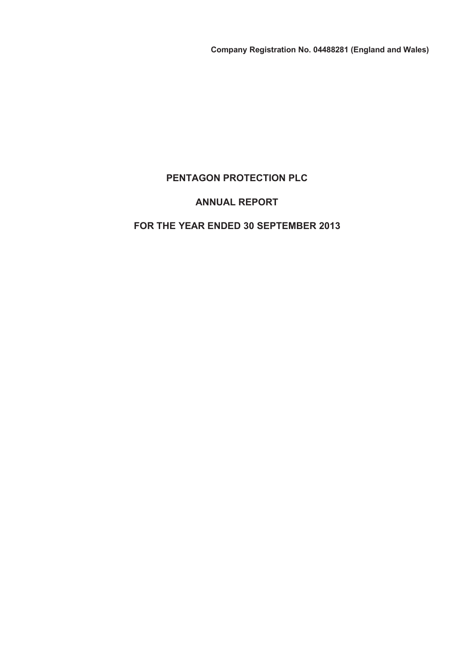**Company Registration No. 04488281 (England and Wales)**

# **PENTAGON PROTECTION PLC**

## **ANNUAL REPORT**

# **FOR THE YEAR ENDED 30 SEPTEMBER 2013**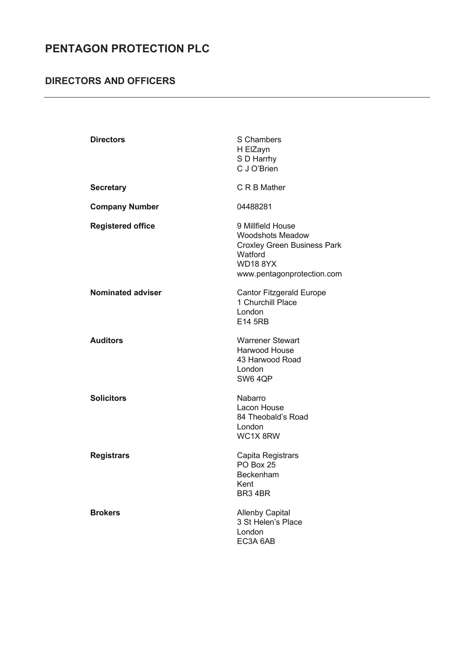## **DIRECTORS AND OFFICERS**

| <b>Directors</b>         | S Chambers<br>H ElZayn<br>S D Harrhy<br>C J O'Brien                                                                                            |
|--------------------------|------------------------------------------------------------------------------------------------------------------------------------------------|
| <b>Secretary</b>         | C R B Mather                                                                                                                                   |
| <b>Company Number</b>    | 04488281                                                                                                                                       |
| <b>Registered office</b> | 9 Millfield House<br><b>Woodshots Meadow</b><br><b>Croxley Green Business Park</b><br>Watford<br><b>WD18 8YX</b><br>www.pentagonprotection.com |
| <b>Nominated adviser</b> | <b>Cantor Fitzgerald Europe</b><br>1 Churchill Place<br>London<br><b>E14 5RB</b>                                                               |
| <b>Auditors</b>          | <b>Warrener Stewart</b><br>Harwood House<br>43 Harwood Road<br>London<br>SW6 4QP                                                               |
| <b>Solicitors</b>        | Nabarro<br>Lacon House<br>84 Theobald's Road<br>London<br>WC1X 8RW                                                                             |
| <b>Registrars</b>        | Capita Registrars<br>PO Box 25<br>Beckenham<br>Kent<br>BR34BR                                                                                  |
| <b>Brokers</b>           | <b>Allenby Capital</b><br>3 St Helen's Place<br>London<br>EC3A 6AB                                                                             |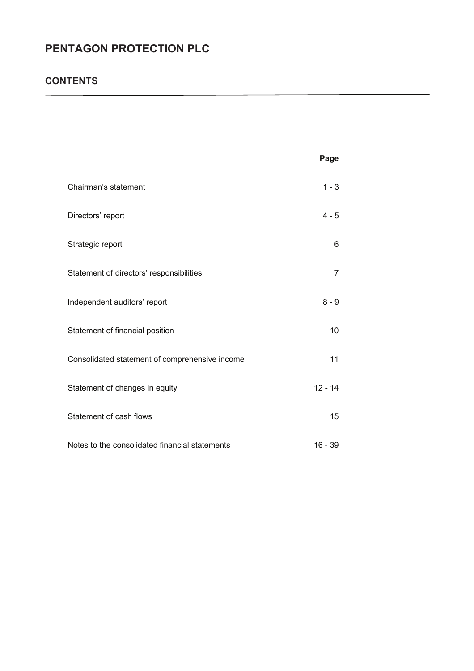### **CONTENTS**

|                                                | Page      |
|------------------------------------------------|-----------|
| Chairman's statement                           | $1 - 3$   |
| Directors' report                              | $4 - 5$   |
| Strategic report                               | 6         |
| Statement of directors' responsibilities       | 7         |
| Independent auditors' report                   | $8 - 9$   |
| Statement of financial position                | 10        |
| Consolidated statement of comprehensive income | 11        |
| Statement of changes in equity                 | $12 - 14$ |
| Statement of cash flows                        | 15        |
| Notes to the consolidated financial statements | $16 - 39$ |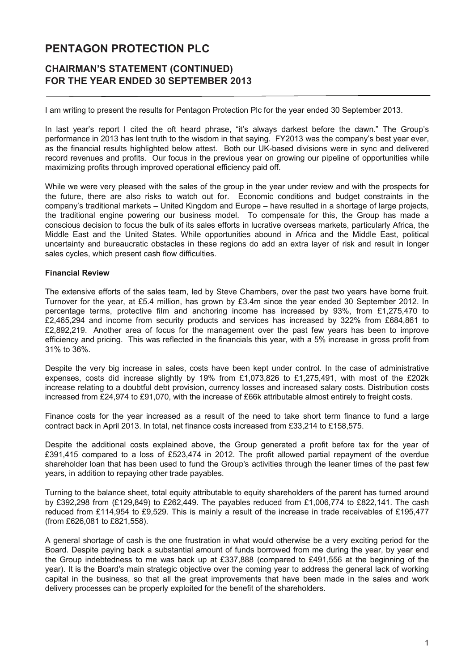## **CHAIRMANS STATEMENT (CONTINUED) FOR THE YEAR ENDED 30 SEPTEMBER 2013**

I am writing to present the results for Pentagon Protection Plc for the year ended 30 September 2013.

In last year's report I cited the oft heard phrase, "it's always darkest before the dawn." The Group's performance in 2013 has lent truth to the wisdom in that saying. FY2013 was the company's best year ever, as the financial results highlighted below attest. Both our UK-based divisions were in sync and delivered record revenues and profits. Our focus in the previous year on growing our pipeline of opportunities while maximizing profits through improved operational efficiency paid off.

While we were very pleased with the sales of the group in the year under review and with the prospects for the future, there are also risks to watch out for. Economic conditions and budget constraints in the company's traditional markets – United Kingdom and Europe – have resulted in a shortage of large projects, the traditional engine powering our business model. To compensate for this, the Group has made a conscious decision to focus the bulk of its sales efforts in lucrative overseas markets, particularly Africa, the Middle East and the United States. While opportunities abound in Africa and the Middle East, political uncertainty and bureaucratic obstacles in these regions do add an extra layer of risk and result in longer sales cycles, which present cash flow difficulties.

### **Financial Review**

The extensive efforts of the sales team, led by Steve Chambers, over the past two years have borne fruit. Turnover for the year, at £5.4 million, has grown by £3.4m since the year ended 30 September 2012. In percentage terms, protective film and anchoring income has increased by  $93\%$ , from £1,275,470 to £2,465,294 and income from security products and services has increased by 322% from £684,861 to 2,892,219. Another area of focus for the management over the past few years has been to improve efficiency and pricing. This was reflected in the financials this year, with a 5% increase in gross profit from 31% to 36%.

Despite the very big increase in sales, costs have been kept under control. In the case of administrative expenses, costs did increase slightly by 19% from £1,073,826 to £1,275,491, with most of the £202k increase relating to a doubtful debt provision, currency losses and increased salary costs. Distribution costs increased from £24,974 to £91,070, with the increase of £66k attributable almost entirely to freight costs.

Finance costs for the year increased as a result of the need to take short term finance to fund a large contract back in April 2013. In total, net finance costs increased from £33,214 to £158,575.

Despite the additional costs explained above, the Group generated a profit before tax for the year of 391,415 compared to a loss of 523,474 in 2012. The profit allowed partial repayment of the overdue shareholder loan that has been used to fund the Group's activities through the leaner times of the past few years, in addition to repaying other trade payables.

Turning to the balance sheet, total equity attributable to equity shareholders of the parent has turned around by £392,298 from (£129,849) to £262,449. The payables reduced from £1,006,774 to £822,141. The cash reduced from £114,954 to £9,529. This is mainly a result of the increase in trade receivables of £195,477 (from £626,081 to £821,558).

A general shortage of cash is the one frustration in what would otherwise be a very exciting period for the Board. Despite paying back a substantial amount of funds borrowed from me during the year, by year end the Group indebtedness to me was back up at £337,888 (compared to £491,556 at the beginning of the year). It is the Board's main strategic objective over the coming year to address the general lack of working capital in the business, so that all the great improvements that have been made in the sales and work delivery processes can be properly exploited for the benefit of the shareholders.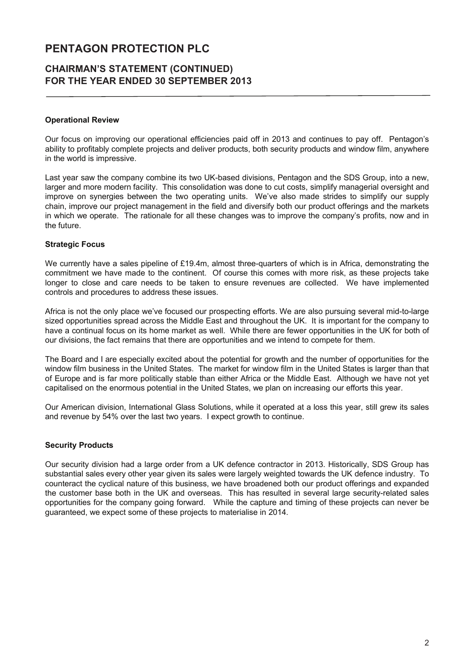### **CHAIRMANS STATEMENT (CONTINUED) FOR THE YEAR ENDED 30 SEPTEMBER 2013**

### **Operational Review**

Our focus on improving our operational efficiencies paid off in 2013 and continues to pay off. Pentagon's ability to profitably complete projects and deliver products, both security products and window film, anywhere in the world is impressive.

Last year saw the company combine its two UK-based divisions, Pentagon and the SDS Group, into a new, larger and more modern facility. This consolidation was done to cut costs, simplify managerial oversight and improve on synergies between the two operating units. We've also made strides to simplify our supply chain, improve our project management in the field and diversify both our product offerings and the markets in which we operate. The rationale for all these changes was to improve the company's profits, now and in the future.

### **Strategic Focus**

We currently have a sales pipeline of £19.4m, almost three-quarters of which is in Africa, demonstrating the commitment we have made to the continent. Of course this comes with more risk, as these projects take longer to close and care needs to be taken to ensure revenues are collected. We have implemented controls and procedures to address these issues.

Africa is not the only place we've focused our prospecting efforts. We are also pursuing several mid-to-large sized opportunities spread across the Middle East and throughout the UK. It is important for the company to have a continual focus on its home market as well. While there are fewer opportunities in the UK for both of our divisions, the fact remains that there are opportunities and we intend to compete for them.

The Board and I are especially excited about the potential for growth and the number of opportunities for the window film business in the United States. The market for window film in the United States is larger than that of Europe and is far more politically stable than either Africa or the Middle East. Although we have not yet capitalised on the enormous potential in the United States, we plan on increasing our efforts this year.

Our American division, International Glass Solutions, while it operated at a loss this year, still grew its sales and revenue by 54% over the last two years. I expect growth to continue.

### **Security Products**

Our security division had a large order from a UK defence contractor in 2013. Historically, SDS Group has substantial sales every other year given its sales were largely weighted towards the UK defence industry. To counteract the cyclical nature of this business, we have broadened both our product offerings and expanded the customer base both in the UK and overseas. This has resulted in several large security-related sales opportunities for the company going forward. While the capture and timing of these projects can never be guaranteed, we expect some of these projects to materialise in 2014.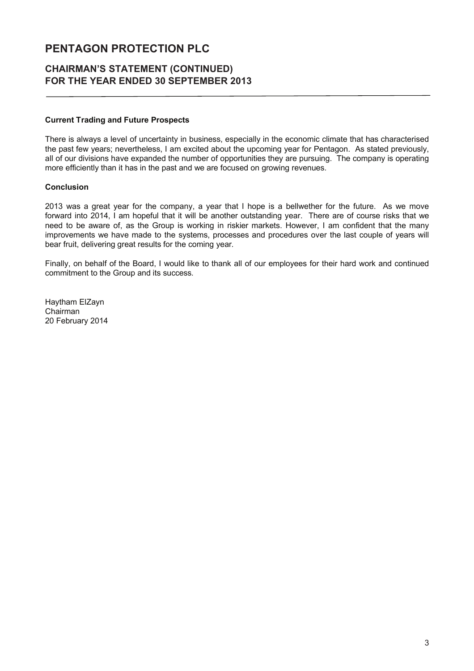### **CHAIRMANS STATEMENT (CONTINUED) FOR THE YEAR ENDED 30 SEPTEMBER 2013**

### **Current Trading and Future Prospects**

There is always a level of uncertainty in business, especially in the economic climate that has characterised the past few years; nevertheless, I am excited about the upcoming year for Pentagon. As stated previously, all of our divisions have expanded the number of opportunities they are pursuing. The company is operating more efficiently than it has in the past and we are focused on growing revenues.

### **Conclusion**

2013 was a great year for the company, a year that I hope is a bellwether for the future. As we move forward into 2014, I am hopeful that it will be another outstanding year. There are of course risks that we need to be aware of, as the Group is working in riskier markets. However, I am confident that the many improvements we have made to the systems, processes and procedures over the last couple of years will bear fruit, delivering great results for the coming year.

Finally, on behalf of the Board, I would like to thank all of our employees for their hard work and continued commitment to the Group and its success.

Haytham ElZayn Chairman 20 February 2014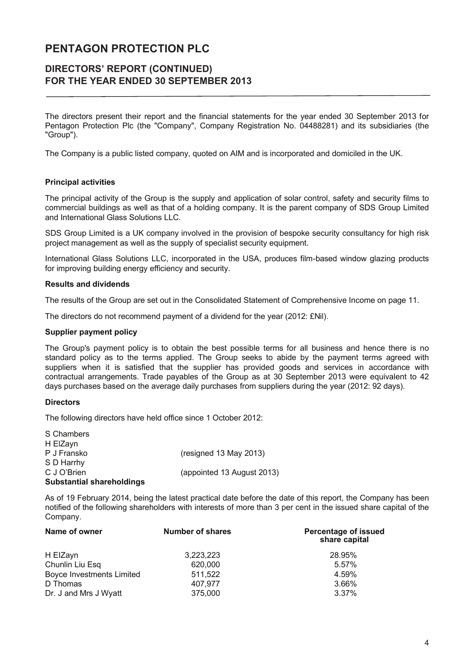## **DIRECTORS' REPORT (CONTINUED) FOR THE YEAR ENDED 30 SEPTEMBER 2013**

The directors present their report and the financial statements for the year ended 30 September 2013 for Pentagon Protection Plc (the "Company", Company Registration No. 04488281) and its subsidiaries (the "Group").

The Company is a public listed company, quoted on AIM and is incorporated and domiciled in the UK.

### **Principal activities**

The principal activity of the Group is the supply and application of solar control, safety and security films to commercial buildings as well as that of a holding company. It is the parent company of SDS Group Limited and International Glass Solutions LLC.

SDS Group Limited is a UK company involved in the provision of bespoke security consultancy for high risk project management as well as the supply of specialist security equipment.

International Glass Solutions LLC, incorporated in the USA, produces film-based window glazing products for improving building energy efficiency and security.

#### **Results and dividends**

The results of the Group are set out in the Consolidated Statement of Comprehensive Income on page 11.

The directors do not recommend payment of a dividend for the year (2012:  $E$ Nil).

#### **Supplier payment policy**

The Group's payment policy is to obtain the best possible terms for all business and hence there is no standard policy as to the terms applied. The Group seeks to abide by the payment terms agreed with suppliers when it is satisfied that the supplier has provided goods and services in accordance with contractual arrangements. Trade payables of the Group as at 30 September 2013 were equivalent to 42 days purchases based on the average daily purchases from suppliers during the year (2012: 92 days).

#### **Directors**

The following directors have held office since 1 October 2012:

| <b>Substantial shareholdings</b> |                            |
|----------------------------------|----------------------------|
| C J O'Brien                      | (appointed 13 August 2013) |
| S D Harrhy                       |                            |
| P J Fransko                      | (resigned 13 May 2013)     |
| H ElZayn                         |                            |
| S Chambers                       |                            |

As of 19 February 2014, being the latest practical date before the date of this report, the Company has been notified of the following shareholders with interests of more than 3 per cent in the issued share capital of the Company.

| Name of owner             | <b>Number of shares</b> | <b>Percentage of issued</b><br>share capital |  |  |
|---------------------------|-------------------------|----------------------------------------------|--|--|
| H EIZayn                  | 3,223,223               | 28.95%                                       |  |  |
| Chunlin Liu Esq           | 620,000                 | 5.57%                                        |  |  |
| Boyce Investments Limited | 511,522                 | 4.59%                                        |  |  |
| D Thomas                  | 407,977                 | 3.66%                                        |  |  |
| Dr. J and Mrs J Wyatt     | 375,000                 | 3.37%                                        |  |  |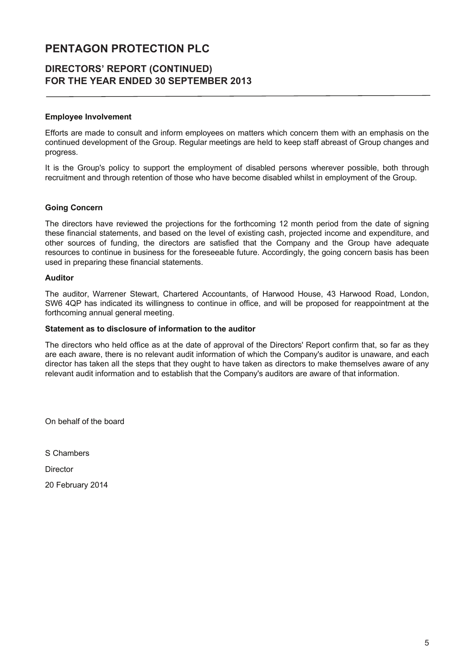## **DIRECTORS' REPORT (CONTINUED) FOR THE YEAR ENDED 30 SEPTEMBER 2013**

### **Employee Involvement**

Efforts are made to consult and inform employees on matters which concern them with an emphasis on the continued development of the Group. Regular meetings are held to keep staff abreast of Group changes and progress.

It is the Group's policy to support the employment of disabled persons wherever possible, both through recruitment and through retention of those who have become disabled whilst in employment of the Group.

### **Going Concern**

The directors have reviewed the projections for the forthcoming 12 month period from the date of signing these financial statements, and based on the level of existing cash, projected income and expenditure, and other sources of funding, the directors are satisfied that the Company and the Group have adequate resources to continue in business for the foreseeable future. Accordingly, the going concern basis has been used in preparing these financial statements.

### **Auditor**

The auditor, Warrener Stewart, Chartered Accountants, of Harwood House, 43 Harwood Road, London, SW6 4QP has indicated its willingness to continue in office, and will be proposed for reappointment at the forthcoming annual general meeting.

### **Statement as to disclosure of information to the auditor**

The directors who held office as at the date of approval of the Directors' Report confirm that, so far as they are each aware, there is no relevant audit information of which the Company's auditor is unaware, and each director has taken all the steps that they ought to have taken as directors to make themselves aware of any relevant audit information and to establish that the Company's auditors are aware of that information.

On behalf of the board

S Chambers

**Director** 

20 February 2014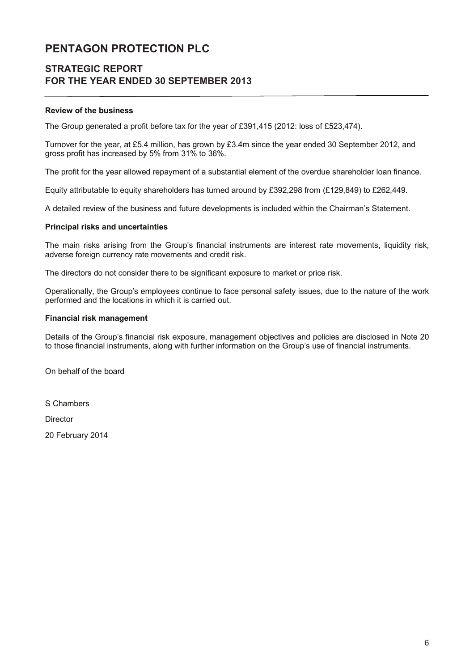## **STRATEGIC REPORT FOR THE YEAR ENDED 30 SEPTEMBER 2013**

#### **Review of the business**

The Group generated a profit before tax for the year of £391,415 (2012: loss of £523,474).

Turnover for the year, at £5.4 million, has grown by £3.4m since the year ended 30 September 2012, and gross profit has increased by 5% from 31% to 36%.

The profit for the year allowed repayment of a substantial element of the overdue shareholder loan finance.

Equity attributable to equity shareholders has turned around by £392,298 from (£129,849) to £262,449.

A detailed review of the business and future developments is included within the Chairman's Statement.

#### **Principal risks and uncertainties**

The main risks arising from the Group's financial instruments are interest rate movements, liquidity risk, adverse foreign currency rate movements and credit risk.

The directors do not consider there to be significant exposure to market or price risk.

Operationally, the Group's employees continue to face personal safety issues, due to the nature of the work performed and the locations in which it is carried out.

### **Financial risk management**

Details of the Group's financial risk exposure, management objectives and policies are disclosed in Note 20 to those financial instruments, along with further information on the Group's use of financial instruments.

On behalf of the board

S Chambers

**Director** 

20 February 2014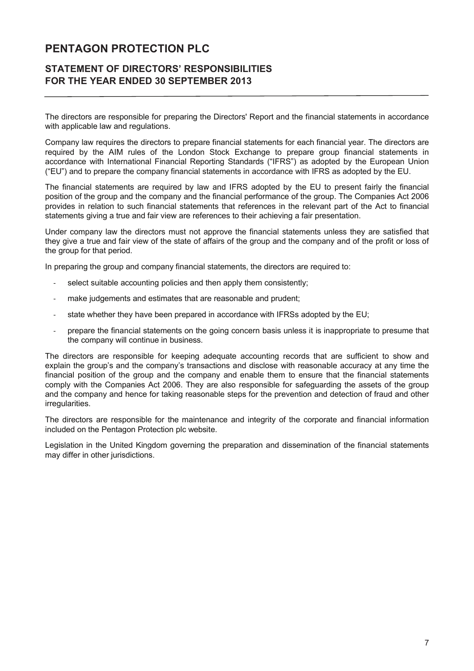## **STATEMENT OF DIRECTORS' RESPONSIBILITIES FOR THE YEAR ENDED 30 SEPTEMBER 2013**

The directors are responsible for preparing the Directors' Report and the financial statements in accordance with applicable law and regulations.

Company law requires the directors to prepare financial statements for each financial year. The directors are required by the AIM rules of the London Stock Exchange to prepare group financial statements in accordance with International Financial Reporting Standards ("IFRS") as adopted by the European Union (EU) and to prepare the company financial statements in accordance with IFRS as adopted by the EU.

The financial statements are required by law and IFRS adopted by the EU to present fairly the financial position of the group and the company and the financial performance of the group. The Companies Act 2006 provides in relation to such financial statements that references in the relevant part of the Act to financial statements giving a true and fair view are references to their achieving a fair presentation.

Under company law the directors must not approve the financial statements unless they are satisfied that they give a true and fair view of the state of affairs of the group and the company and of the profit or loss of the group for that period.

In preparing the group and company financial statements, the directors are required to:

- select suitable accounting policies and then apply them consistently;
- make judgements and estimates that are reasonable and prudent;
- state whether they have been prepared in accordance with IFRSs adopted by the EU;
- prepare the financial statements on the going concern basis unless it is inappropriate to presume that the company will continue in business.

The directors are responsible for keeping adequate accounting records that are sufficient to show and explain the group's and the company's transactions and disclose with reasonable accuracy at any time the financial position of the group and the company and enable them to ensure that the financial statements comply with the Companies Act 2006. They are also responsible for safeguarding the assets of the group and the company and hence for taking reasonable steps for the prevention and detection of fraud and other irregularities.

The directors are responsible for the maintenance and integrity of the corporate and financial information included on the Pentagon Protection plc website.

Legislation in the United Kingdom governing the preparation and dissemination of the financial statements may differ in other jurisdictions.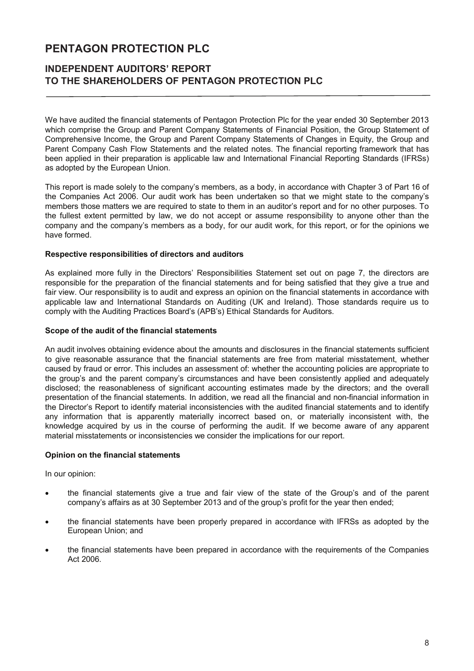## **INDEPENDENT AUDITORS' REPORT TO THE SHAREHOLDERS OF PENTAGON PROTECTION PLC**

We have audited the financial statements of Pentagon Protection Plc for the year ended 30 September 2013 which comprise the Group and Parent Company Statements of Financial Position, the Group Statement of Comprehensive Income, the Group and Parent Company Statements of Changes in Equity, the Group and Parent Company Cash Flow Statements and the related notes. The financial reporting framework that has been applied in their preparation is applicable law and International Financial Reporting Standards (IFRSs) as adopted by the European Union.

This report is made solely to the company's members, as a body, in accordance with Chapter 3 of Part 16 of the Companies Act 2006. Our audit work has been undertaken so that we might state to the company's members those matters we are required to state to them in an auditor's report and for no other purposes. To the fullest extent permitted by law, we do not accept or assume responsibility to anyone other than the company and the companys members as a body, for our audit work, for this report, or for the opinions we have formed.

### **Respective responsibilities of directors and auditors**

As explained more fully in the Directors' Responsibilities Statement set out on page 7, the directors are responsible for the preparation of the financial statements and for being satisfied that they give a true and fair view. Our responsibility is to audit and express an opinion on the financial statements in accordance with applicable law and International Standards on Auditing (UK and Ireland). Those standards require us to comply with the Auditing Practices Board's (APB's) Ethical Standards for Auditors.

#### **Scope of the audit of the financial statements**

An audit involves obtaining evidence about the amounts and disclosures in the financial statements sufficient to give reasonable assurance that the financial statements are free from material misstatement, whether caused by fraud or error. This includes an assessment of: whether the accounting policies are appropriate to the group's and the parent company's circumstances and have been consistently applied and adequately disclosed; the reasonableness of significant accounting estimates made by the directors; and the overall presentation of the financial statements. In addition, we read all the financial and non-financial information in the Director's Report to identify material inconsistencies with the audited financial statements and to identify any information that is apparently materially incorrect based on, or materially inconsistent with, the knowledge acquired by us in the course of performing the audit. If we become aware of any apparent material misstatements or inconsistencies we consider the implications for our report.

### **Opinion on the financial statements**

In our opinion:

- the financial statements give a true and fair view of the state of the Group's and of the parent company's affairs as at 30 September 2013 and of the group's profit for the year then ended;
- the financial statements have been properly prepared in accordance with IFRSs as adopted by the European Union; and
- the financial statements have been prepared in accordance with the requirements of the Companies Act 2006.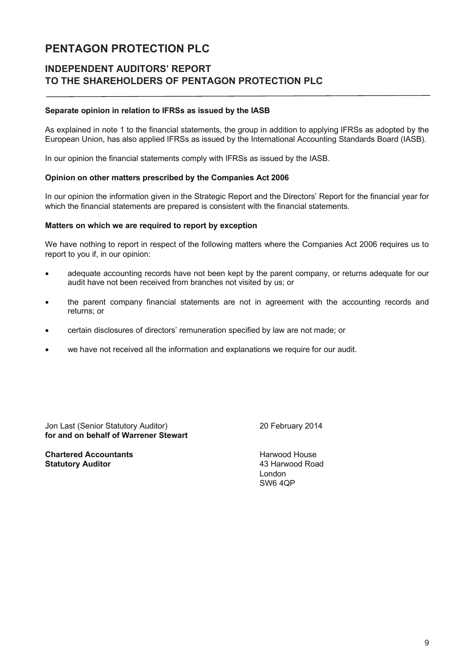## **INDEPENDENT AUDITORS' REPORT TO THE SHAREHOLDERS OF PENTAGON PROTECTION PLC**

### **Separate opinion in relation to IFRSs as issued by the IASB**

As explained in note 1 to the financial statements, the group in addition to applying IFRSs as adopted by the European Union, has also applied IFRSs as issued by the International Accounting Standards Board (IASB).

In our opinion the financial statements comply with IFRSs as issued by the IASB.

#### **Opinion on other matters prescribed by the Companies Act 2006**

In our opinion the information given in the Strategic Report and the Directors' Report for the financial year for which the financial statements are prepared is consistent with the financial statements.

#### **Matters on which we are required to report by exception**

We have nothing to report in respect of the following matters where the Companies Act 2006 requires us to report to you if, in our opinion:

- adequate accounting records have not been kept by the parent company, or returns adequate for our audit have not been received from branches not visited by us; or
- the parent company financial statements are not in agreement with the accounting records and returns; or
- certain disclosures of directors' remuneration specified by law are not made; or
- we have not received all the information and explanations we require for our audit.

Jon Last (Senior Statutory Auditor) 20 February 2014 **for and on behalf of Warrener Stewart**

**Chartered Accountants Example 2018** Harwood House **Statutory Auditor 1988 CONSERVING ACCESS CONSERVING ACCESS 43 Harwood Road** 

London SW6 4QP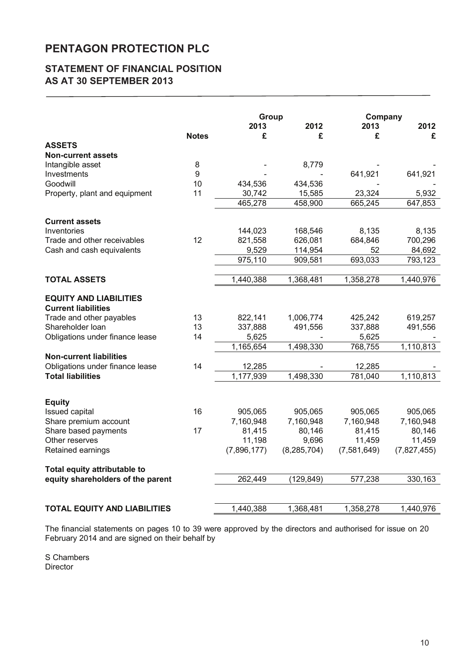## **STATEMENT OF FINANCIAL POSITION AS AT 30 SEPTEMBER 2013**

|                                                             |              | Group<br>2013<br>2012 |               | Company<br>2013 | 2012        |
|-------------------------------------------------------------|--------------|-----------------------|---------------|-----------------|-------------|
|                                                             | <b>Notes</b> | £                     | £             | £               | £           |
| <b>ASSETS</b>                                               |              |                       |               |                 |             |
| <b>Non-current assets</b>                                   |              |                       |               |                 |             |
| Intangible asset                                            | 8            |                       | 8,779         |                 |             |
| Investments                                                 | 9            |                       |               | 641,921         | 641,921     |
| Goodwill                                                    | 10           | 434,536               | 434,536       |                 |             |
| Property, plant and equipment                               | 11           | 30,742                | 15,585        | 23,324          | 5,932       |
|                                                             |              | 465,278               | 458,900       | 665,245         | 647,853     |
| <b>Current assets</b>                                       |              |                       |               |                 |             |
| Inventories                                                 |              | 144,023               | 168,546       | 8,135           | 8,135       |
| Trade and other receivables                                 | 12           | 821,558               | 626,081       | 684,846         | 700,296     |
| Cash and cash equivalents                                   |              | 9,529                 | 114,954       | 52              | 84,692      |
|                                                             |              | 975,110               | 909,581       | 693,033         | 793,123     |
|                                                             |              |                       |               |                 |             |
| <b>TOTAL ASSETS</b>                                         |              | 1,440,388             | 1,368,481     | 1,358,278       | 1,440,976   |
| <b>EQUITY AND LIABILITIES</b><br><b>Current liabilities</b> |              |                       |               |                 |             |
| Trade and other payables                                    | 13           | 822,141               | 1,006,774     | 425,242         | 619,257     |
| Shareholder loan                                            | 13           | 337,888               | 491,556       | 337,888         | 491,556     |
| Obligations under finance lease                             | 14           | 5,625                 |               | 5,625           |             |
|                                                             |              | 1,165,654             | 1,498,330     | 768,755         | 1,110,813   |
| <b>Non-current liabilities</b>                              |              |                       |               |                 |             |
| Obligations under finance lease                             | 14           | 12,285                |               | 12,285          |             |
| <b>Total liabilities</b>                                    |              | 1,177,939             | 1,498,330     | 781,040         | 1,110,813   |
|                                                             |              |                       |               |                 |             |
| <b>Equity</b>                                               |              |                       |               |                 |             |
| Issued capital                                              | 16           | 905,065               | 905,065       | 905,065         | 905,065     |
| Share premium account                                       |              | 7,160,948             | 7,160,948     | 7,160,948       | 7,160,948   |
| Share based payments                                        | 17           | 81,415                | 80,146        | 81,415          | 80,146      |
| Other reserves                                              |              | 11,198                | 9,696         | 11,459          | 11,459      |
| Retained earnings                                           |              | (7,896,177)           | (8, 285, 704) | (7,581,649)     | (7,827,455) |
| Total equity attributable to                                |              |                       |               |                 |             |
| equity shareholders of the parent                           |              | 262,449               | (129, 849)    | 577,238         | 330,163     |
|                                                             |              |                       |               |                 |             |
| <b>TOTAL EQUITY AND LIABILITIES</b>                         |              | 1,440,388             | 1,368,481     | 1,358,278       | 1,440,976   |

The financial statements on pages 10 to 39 were approved by the directors and authorised for issue on 20 February 2014 and are signed on their behalf by

S Chambers Director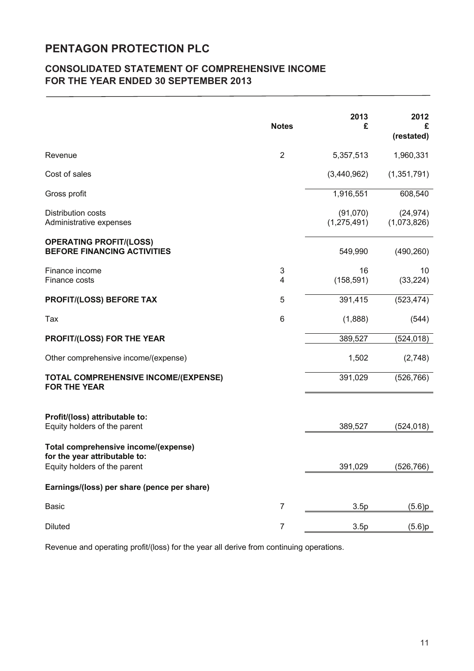## **CONSOLIDATED STATEMENT OF COMPREHENSIVE INCOME FOR THE YEAR ENDED 30 SEPTEMBER 2013**

|                                                                                                       | <b>Notes</b>   | 2013<br>£                 | 2012<br>£<br>(restated)  |
|-------------------------------------------------------------------------------------------------------|----------------|---------------------------|--------------------------|
| Revenue                                                                                               | $\overline{2}$ | 5,357,513                 | 1,960,331                |
| Cost of sales                                                                                         |                | (3,440,962)               | (1,351,791)              |
| Gross profit                                                                                          |                | 1,916,551                 | 608,540                  |
| <b>Distribution costs</b><br>Administrative expenses                                                  |                | (91,070)<br>(1, 275, 491) | (24, 974)<br>(1,073,826) |
| <b>OPERATING PROFIT/(LOSS)</b><br><b>BEFORE FINANCING ACTIVITIES</b>                                  |                | 549,990                   | (490, 260)               |
| Finance income<br>Finance costs                                                                       | 3<br>4         | 16<br>(158, 591)          | 10<br>(33, 224)          |
| PROFIT/(LOSS) BEFORE TAX                                                                              | 5              | 391,415                   | (523, 474)               |
| Tax                                                                                                   | 6              | (1,888)                   | (544)                    |
| PROFIT/(LOSS) FOR THE YEAR                                                                            |                | 389,527                   | (524, 018)               |
| Other comprehensive income/(expense)                                                                  |                | 1,502                     | (2,748)                  |
| <b>TOTAL COMPREHENSIVE INCOME/(EXPENSE)</b><br><b>FOR THE YEAR</b>                                    |                | 391,029                   | (526, 766)               |
| Profit/(loss) attributable to:<br>Equity holders of the parent                                        |                | 389,527                   | (524, 018)               |
| Total comprehensive income/(expense)<br>for the year attributable to:<br>Equity holders of the parent |                | 391,029                   | (526, 766)               |
| Earnings/(loss) per share (pence per share)                                                           |                |                           |                          |
| Basic                                                                                                 | $\overline{7}$ | 3.5p                      | (5.6)p                   |
| <b>Diluted</b>                                                                                        | $\overline{7}$ | 3.5p                      | (5.6)p                   |

Revenue and operating profit/(loss) for the year all derive from continuing operations.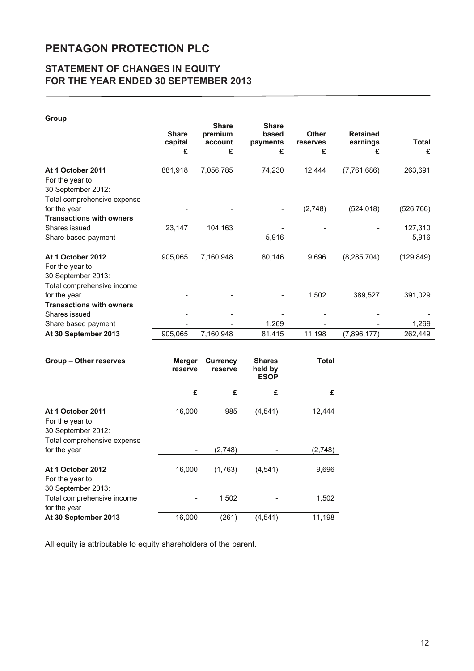## **STATEMENT OF CHANGES IN EQUITY FOR THE YEAR ENDED 30 SEPTEMBER 2013**

| Group                                                                                     |                              |                                         |                                         |                               |                                  |                   |
|-------------------------------------------------------------------------------------------|------------------------------|-----------------------------------------|-----------------------------------------|-------------------------------|----------------------------------|-------------------|
|                                                                                           | <b>Share</b><br>capital<br>£ | <b>Share</b><br>premium<br>account<br>£ | <b>Share</b><br>based<br>payments<br>£  | <b>Other</b><br>reserves<br>£ | <b>Retained</b><br>earnings<br>£ | <b>Total</b><br>£ |
| At 1 October 2011<br>For the year to<br>30 September 2012:<br>Total comprehensive expense | 881,918                      | 7,056,785                               | 74,230                                  | 12,444                        | (7,761,686)                      | 263,691           |
| for the year<br><b>Transactions with owners</b>                                           |                              |                                         |                                         | (2,748)                       | (524, 018)                       | (526, 766)        |
| Shares issued                                                                             | 23,147                       | 104,163                                 |                                         |                               |                                  | 127,310           |
| Share based payment                                                                       |                              |                                         | 5,916                                   |                               |                                  | 5,916             |
| At 1 October 2012<br>For the year to<br>30 September 2013:                                | 905,065                      | 7,160,948                               | 80,146                                  | 9,696                         | (8, 285, 704)                    | (129, 849)        |
| Total comprehensive income<br>for the year<br><b>Transactions with owners</b>             |                              |                                         |                                         | 1,502                         | 389,527                          | 391,029           |
| Shares issued                                                                             |                              |                                         |                                         |                               |                                  |                   |
| Share based payment                                                                       |                              |                                         | 1,269                                   |                               |                                  | 1,269             |
| At 30 September 2013                                                                      | 905,065                      | 7,160,948                               | 81,415                                  | 11,198                        | (7,896,177)                      | 262,449           |
| <b>Group - Other reserves</b>                                                             | <b>Merger</b><br>reserve     | <b>Currency</b><br>reserve              | <b>Shares</b><br>held by<br><b>ESOP</b> | Total                         |                                  |                   |
|                                                                                           | £                            | £                                       | £                                       | £                             |                                  |                   |
| At 1 October 2011<br>For the year to<br>30 September 2012:<br>Total comprehensive expense | 16,000                       | 985                                     | (4, 541)                                | 12,444                        |                                  |                   |
| for the year                                                                              |                              | (2,748)                                 |                                         | (2,748)                       |                                  |                   |
| At 1 October 2012<br>For the year to<br>30 September 2013:                                | 16,000                       | (1,763)                                 | (4, 541)                                | 9,696                         |                                  |                   |
| Total comprehensive income<br>for the year                                                |                              | 1,502                                   |                                         | 1,502                         |                                  |                   |
| At 30 September 2013                                                                      | 16,000                       | (261)                                   | (4, 541)                                | 11,198                        |                                  |                   |

All equity is attributable to equity shareholders of the parent.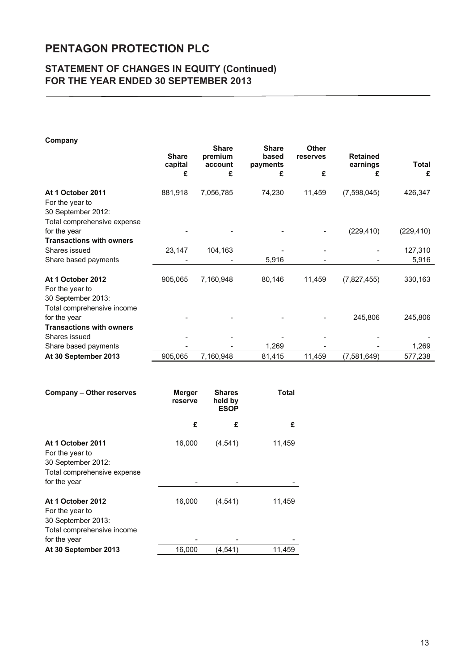# **STATEMENT OF CHANGES IN EQUITY (Continued) FOR THE YEAR ENDED 30 SEPTEMBER 2013**

| Company                                                                                   |                         |                                    |                                   |                          |                             |            |
|-------------------------------------------------------------------------------------------|-------------------------|------------------------------------|-----------------------------------|--------------------------|-----------------------------|------------|
|                                                                                           | <b>Share</b><br>capital | <b>Share</b><br>premium<br>account | <b>Share</b><br>based<br>payments | <b>Other</b><br>reserves | <b>Retained</b><br>earnings | Total      |
|                                                                                           | £                       | £                                  | £                                 | £                        | £                           | £          |
| At 1 October 2011<br>For the year to<br>30 September 2012:<br>Total comprehensive expense | 881,918                 | 7,056,785                          | 74,230                            | 11,459                   | (7,598,045)                 | 426,347    |
| for the year                                                                              |                         |                                    |                                   |                          | (229, 410)                  | (229, 410) |
| <b>Transactions with owners</b>                                                           |                         |                                    |                                   |                          |                             |            |
| Shares issued                                                                             | 23,147                  | 104,163                            |                                   |                          |                             | 127,310    |
| Share based payments                                                                      |                         |                                    | 5,916                             |                          |                             | 5,916      |
| At 1 October 2012<br>For the year to<br>30 September 2013:                                | 905,065                 | 7,160,948                          | 80,146                            | 11,459                   | (7,827,455)                 | 330,163    |
| Total comprehensive income<br>for the year<br><b>Transactions with owners</b>             |                         |                                    |                                   |                          | 245,806                     | 245,806    |
| Shares issued                                                                             |                         |                                    |                                   |                          |                             |            |
| Share based payments                                                                      |                         |                                    | 1,269                             |                          |                             | 1,269      |
| At 30 September 2013                                                                      | 905,065                 | 7,160,948                          | 81,415                            | 11,459                   | (7,581,649)                 | 577,238    |

| Company - Other reserves                                                                                  | <b>Merger</b><br>reserve | <b>Shares</b><br>held by<br><b>ESOP</b> | Total  |
|-----------------------------------------------------------------------------------------------------------|--------------------------|-----------------------------------------|--------|
|                                                                                                           | £                        | £                                       | £      |
| At 1 October 2011<br>For the year to<br>30 September 2012:<br>Total comprehensive expense<br>for the year | 16,000                   | (4, 541)                                | 11,459 |
| At 1 October 2012<br>For the year to<br>30 September 2013:<br>Total comprehensive income<br>for the year  | 16,000                   | (4, 541)                                | 11,459 |
| At 30 September 2013                                                                                      | 16,000                   | (4,541)                                 | 11,459 |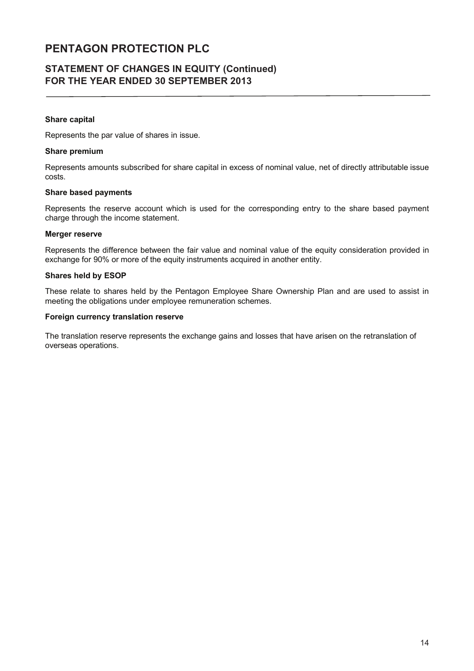## **STATEMENT OF CHANGES IN EQUITY (Continued) FOR THE YEAR ENDED 30 SEPTEMBER 2013**

### **Share capital**

Represents the par value of shares in issue.

#### **Share premium**

Represents amounts subscribed for share capital in excess of nominal value, net of directly attributable issue costs.

### **Share based payments**

Represents the reserve account which is used for the corresponding entry to the share based payment charge through the income statement.

### **Merger reserve**

Represents the difference between the fair value and nominal value of the equity consideration provided in exchange for 90% or more of the equity instruments acquired in another entity.

### **Shares held by ESOP**

These relate to shares held by the Pentagon Employee Share Ownership Plan and are used to assist in meeting the obligations under employee remuneration schemes.

### **Foreign currency translation reserve**

The translation reserve represents the exchange gains and losses that have arisen on the retranslation of overseas operations.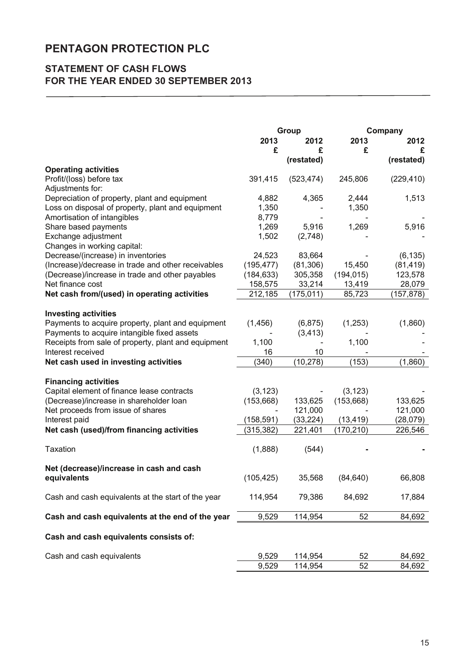# **STATEMENT OF CASH FLOWS FOR THE YEAR ENDED 30 SEPTEMBER 2013**

|                                                                                          | Group      |            | Company    |                       |
|------------------------------------------------------------------------------------------|------------|------------|------------|-----------------------|
|                                                                                          | 2013       | 2012       |            | 2012                  |
|                                                                                          | £          | £          | £          | £                     |
|                                                                                          |            | (restated) |            | (restated)            |
| <b>Operating activities</b>                                                              |            |            |            |                       |
| Profit/(loss) before tax                                                                 | 391,415    | (523, 474) | 245,806    | (229, 410)            |
| Adjustments for:                                                                         |            |            |            |                       |
| Depreciation of property, plant and equipment                                            | 4,882      | 4,365      | 2,444      | 1,513                 |
| Loss on disposal of property, plant and equipment                                        | 1,350      |            | 1,350      |                       |
| Amortisation of intangibles                                                              | 8,779      |            |            |                       |
| Share based payments                                                                     | 1,269      | 5,916      | 1,269      | 5,916                 |
| Exchange adjustment                                                                      | 1,502      | (2,748)    |            |                       |
| Changes in working capital:                                                              | 24,523     | 83,664     |            |                       |
| Decrease/(increase) in inventories<br>(Increase)/decrease in trade and other receivables | (195, 477) | (81, 306)  | 15,450     | (6, 135)<br>(81, 419) |
| (Decrease)/increase in trade and other payables                                          | (184, 633) | 305,358    | (194, 015) | 123,578               |
| Net finance cost                                                                         | 158,575    | 33,214     | 13,419     | 28,079                |
| Net cash from/(used) in operating activities                                             | 212,185    | (175, 011) | 85,723     | (157,878)             |
|                                                                                          |            |            |            |                       |
| <b>Investing activities</b>                                                              |            |            |            |                       |
| Payments to acquire property, plant and equipment                                        | (1, 456)   | (6, 875)   | (1, 253)   | (1,860)               |
| Payments to acquire intangible fixed assets                                              |            | (3, 413)   |            |                       |
| Receipts from sale of property, plant and equipment                                      | 1,100      |            | 1,100      |                       |
| Interest received                                                                        | 16         | 10         |            |                       |
| Net cash used in investing activities                                                    | (340)      | (10, 278)  | (153)      | (1,860)               |
|                                                                                          |            |            |            |                       |
| <b>Financing activities</b>                                                              |            |            |            |                       |
| Capital element of finance lease contracts                                               | (3, 123)   |            | (3, 123)   |                       |
| (Decrease)/increase in shareholder loan                                                  | (153, 668) | 133,625    | (153, 668) | 133,625               |
| Net proceeds from issue of shares                                                        |            | 121,000    |            | 121,000               |
| Interest paid                                                                            | (158, 591) | (33, 224)  | (13, 419)  | (28,079)              |
| Net cash (used)/from financing activities                                                | (315,382)  | 221,401    | (170,210)  | 226,546               |
|                                                                                          |            |            |            |                       |
| Taxation                                                                                 | (1,888)    | (544)      |            |                       |
|                                                                                          |            |            |            |                       |
| Net (decrease)/increase in cash and cash                                                 |            |            |            |                       |
| equivalents                                                                              | (105, 425) | 35,568     | (84, 640)  | 66,808                |
|                                                                                          |            |            |            |                       |
| Cash and cash equivalents at the start of the year                                       | 114,954    | 79,386     | 84,692     | 17,884                |
|                                                                                          |            |            |            |                       |
| Cash and cash equivalents at the end of the year                                         | 9,529      | 114,954    | 52         | 84,692                |
|                                                                                          |            |            |            |                       |
| Cash and cash equivalents consists of:                                                   |            |            |            |                       |
|                                                                                          |            |            |            |                       |
| Cash and cash equivalents                                                                | 9,529      | 114,954    | 52         | 84,692                |
|                                                                                          | 9,529      | 114,954    | 52         | 84,692                |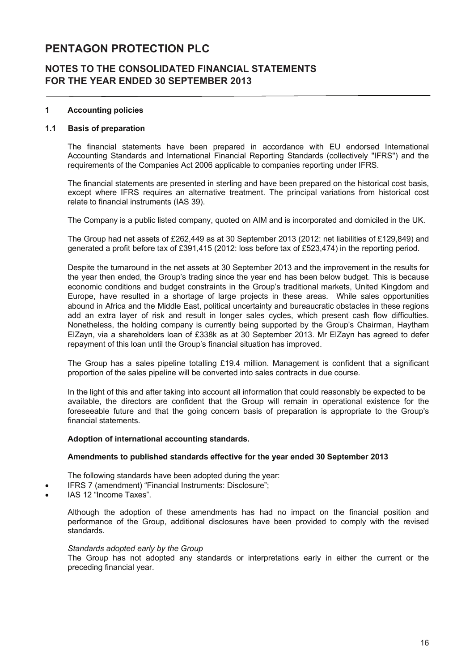## **NOTES TO THE CONSOLIDATED FINANCIAL STATEMENTS FOR THE YEAR ENDED 30 SEPTEMBER 2013**

### **1 Accounting policies**

### **1.1 Basis of preparation**

The financial statements have been prepared in accordance with EU endorsed International Accounting Standards and International Financial Reporting Standards (collectively "IFRS") and the requirements of the Companies Act 2006 applicable to companies reporting under IFRS.

The financial statements are presented in sterling and have been prepared on the historical cost basis, except where IFRS requires an alternative treatment. The principal variations from historical cost relate to financial instruments (IAS 39).

The Company is a public listed company, quoted on AIM and is incorporated and domiciled in the UK.

The Group had net assets of £262,449 as at 30 September 2013 (2012: net liabilities of £129,849) and generated a profit before tax of £391,415 (2012: loss before tax of £523,474) in the reporting period.

Despite the turnaround in the net assets at 30 September 2013 and the improvement in the results for the year then ended, the Group's trading since the year end has been below budget. This is because economic conditions and budget constraints in the Group's traditional markets, United Kingdom and Europe, have resulted in a shortage of large projects in these areas. While sales opportunities abound in Africa and the Middle East, political uncertainty and bureaucratic obstacles in these regions add an extra layer of risk and result in longer sales cycles, which present cash flow difficulties. Nonetheless, the holding company is currently being supported by the Group's Chairman, Haytham ElZayn, via a shareholders loan of £338k as at 30 September 2013. Mr ElZayn has agreed to defer repayment of this loan until the Group's financial situation has improved.

The Group has a sales pipeline totalling  $£19.4$  million. Management is confident that a significant proportion of the sales pipeline will be converted into sales contracts in due course.

In the light of this and after taking into account all information that could reasonably be expected to be available, the directors are confident that the Group will remain in operational existence for the foreseeable future and that the going concern basis of preparation is appropriate to the Group's financial statements.

### **Adoption of international accounting standards.**

### **Amendments to published standards effective for the year ended 30 September 2013**

The following standards have been adopted during the year:

- IFRS 7 (amendment) "Financial Instruments: Disclosure":
- IAS 12 "Income Taxes"

Although the adoption of these amendments has had no impact on the financial position and performance of the Group, additional disclosures have been provided to comply with the revised standards.

#### *Standards adopted early by the Group*

The Group has not adopted any standards or interpretations early in either the current or the preceding financial year.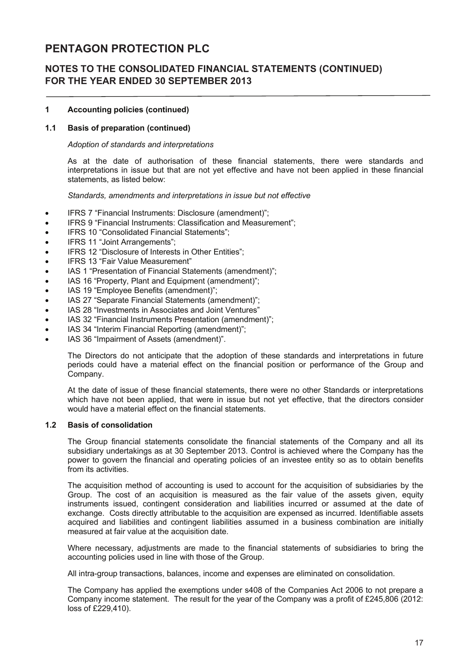## **NOTES TO THE CONSOLIDATED FINANCIAL STATEMENTS (CONTINUED) FOR THE YEAR ENDED 30 SEPTEMBER 2013**

### **1 Accounting policies (continued)**

### **1.1 Basis of preparation (continued)**

#### *Adoption of standards and interpretations*

As at the date of authorisation of these financial statements, there were standards and interpretations in issue but that are not yet effective and have not been applied in these financial statements, as listed below:

*Standards, amendments and interpretations in issue but not effective*

- IFRS 7 "Financial Instruments: Disclosure (amendment)";
- IFRS 9 "Financial Instruments: Classification and Measurement";
- IFRS 10 "Consolidated Financial Statements";
- IFRS 11 "Joint Arrangements";
- IFRS 12 "Disclosure of Interests in Other Entities";
- IFRS 13 "Fair Value Measurement"
- IAS 1 "Presentation of Financial Statements (amendment)";
- IAS 16 "Property, Plant and Equipment (amendment)";
- IAS 19 "Employee Benefits (amendment)";
- IAS 27 "Separate Financial Statements (amendment)":
- IAS 28 "Investments in Associates and Joint Ventures"
- IAS 32 "Financial Instruments Presentation (amendment)":
- IAS 34 "Interim Financial Reporting (amendment)";
- IAS 36 "Impairment of Assets (amendment)".

The Directors do not anticipate that the adoption of these standards and interpretations in future periods could have a material effect on the financial position or performance of the Group and Company.

At the date of issue of these financial statements, there were no other Standards or interpretations which have not been applied, that were in issue but not yet effective, that the directors consider would have a material effect on the financial statements.

#### **1.2 Basis of consolidation**

The Group financial statements consolidate the financial statements of the Company and all its subsidiary undertakings as at 30 September 2013. Control is achieved where the Company has the power to govern the financial and operating policies of an investee entity so as to obtain benefits from its activities.

The acquisition method of accounting is used to account for the acquisition of subsidiaries by the Group. The cost of an acquisition is measured as the fair value of the assets given, equity instruments issued, contingent consideration and liabilities incurred or assumed at the date of exchange. Costs directly attributable to the acquisition are expensed as incurred. Identifiable assets acquired and liabilities and contingent liabilities assumed in a business combination are initially measured at fair value at the acquisition date.

Where necessary, adjustments are made to the financial statements of subsidiaries to bring the accounting policies used in line with those of the Group.

All intra-group transactions, balances, income and expenses are eliminated on consolidation.

The Company has applied the exemptions under s408 of the Companies Act 2006 to not prepare a Company income statement. The result for the year of the Company was a profit of 245,806 (2012: loss of £229,410).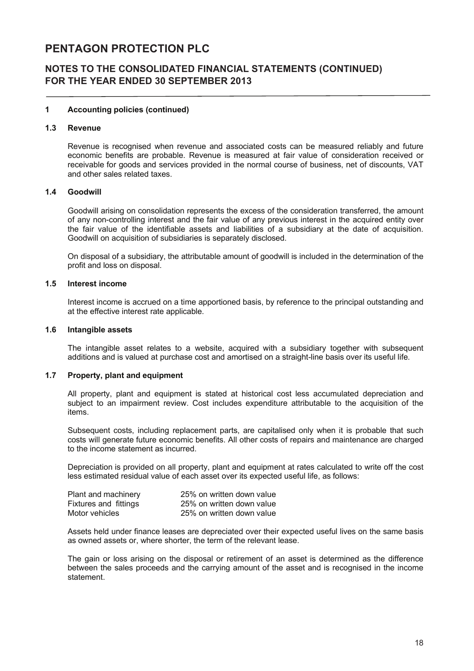### **NOTES TO THE CONSOLIDATED FINANCIAL STATEMENTS (CONTINUED) FOR THE YEAR ENDED 30 SEPTEMBER 2013**

#### **1 Accounting policies (continued)**

### **1.3 Revenue**

Revenue is recognised when revenue and associated costs can be measured reliably and future economic benefits are probable. Revenue is measured at fair value of consideration received or receivable for goods and services provided in the normal course of business, net of discounts, VAT and other sales related taxes.

### **1.4 Goodwill**

Goodwill arising on consolidation represents the excess of the consideration transferred, the amount of any non-controlling interest and the fair value of any previous interest in the acquired entity over the fair value of the identifiable assets and liabilities of a subsidiary at the date of acquisition. Goodwill on acquisition of subsidiaries is separately disclosed.

On disposal of a subsidiary, the attributable amount of goodwill is included in the determination of the profit and loss on disposal.

### **1.5 Interest income**

Interest income is accrued on a time apportioned basis, by reference to the principal outstanding and at the effective interest rate applicable.

### **1.6 Intangible assets**

The intangible asset relates to a website, acquired with a subsidiary together with subsequent additions and is valued at purchase cost and amortised on a straight-line basis over its useful life.

#### **1.7 Property, plant and equipment**

All property, plant and equipment is stated at historical cost less accumulated depreciation and subject to an impairment review. Cost includes expenditure attributable to the acquisition of the items.

Subsequent costs, including replacement parts, are capitalised only when it is probable that such costs will generate future economic benefits. All other costs of repairs and maintenance are charged to the income statement as incurred.

Depreciation is provided on all property, plant and equipment at rates calculated to write off the cost less estimated residual value of each asset over its expected useful life, as follows:

| Plant and machinery   | 25% on written down value |
|-----------------------|---------------------------|
| Fixtures and fittings | 25% on written down value |
| Motor vehicles        | 25% on written down value |

Assets held under finance leases are depreciated over their expected useful lives on the same basis as owned assets or, where shorter, the term of the relevant lease.

The gain or loss arising on the disposal or retirement of an asset is determined as the difference between the sales proceeds and the carrying amount of the asset and is recognised in the income statement.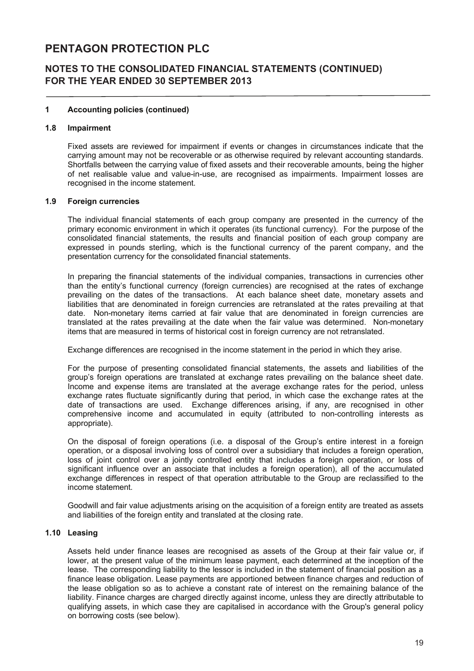## **NOTES TO THE CONSOLIDATED FINANCIAL STATEMENTS (CONTINUED) FOR THE YEAR ENDED 30 SEPTEMBER 2013**

### **1 Accounting policies (continued)**

### **1.8 Impairment**

Fixed assets are reviewed for impairment if events or changes in circumstances indicate that the carrying amount may not be recoverable or as otherwise required by relevant accounting standards. Shortfalls between the carrying value of fixed assets and their recoverable amounts, being the higher of net realisable value and value-in-use, are recognised as impairments. Impairment losses are recognised in the income statement.

### **1.9 Foreign currencies**

The individual financial statements of each group company are presented in the currency of the primary economic environment in which it operates (its functional currency). For the purpose of the consolidated financial statements, the results and financial position of each group company are expressed in pounds sterling, which is the functional currency of the parent company, and the presentation currency for the consolidated financial statements.

In preparing the financial statements of the individual companies, transactions in currencies other than the entity's functional currency (foreign currencies) are recognised at the rates of exchange prevailing on the dates of the transactions. At each balance sheet date, monetary assets and liabilities that are denominated in foreign currencies are retranslated at the rates prevailing at that date. Non-monetary items carried at fair value that are denominated in foreign currencies are translated at the rates prevailing at the date when the fair value was determined. Non-monetary items that are measured in terms of historical cost in foreign currency are not retranslated.

Exchange differences are recognised in the income statement in the period in which they arise.

For the purpose of presenting consolidated financial statements, the assets and liabilities of the group's foreign operations are translated at exchange rates prevailing on the balance sheet date. Income and expense items are translated at the average exchange rates for the period, unless exchange rates fluctuate significantly during that period, in which case the exchange rates at the date of transactions are used. Exchange differences arising, if any, are recognised in other comprehensive income and accumulated in equity (attributed to non-controlling interests as appropriate).

On the disposal of foreign operations (i.e. a disposal of the Group's entire interest in a foreign operation, or a disposal involving loss of control over a subsidiary that includes a foreign operation, loss of joint control over a jointly controlled entity that includes a foreign operation, or loss of significant influence over an associate that includes a foreign operation), all of the accumulated exchange differences in respect of that operation attributable to the Group are reclassified to the income statement.

Goodwill and fair value adjustments arising on the acquisition of a foreign entity are treated as assets and liabilities of the foreign entity and translated at the closing rate.

### **1.10 Leasing**

Assets held under finance leases are recognised as assets of the Group at their fair value or, if lower, at the present value of the minimum lease payment, each determined at the inception of the lease. The corresponding liability to the lessor is included in the statement of financial position as a finance lease obligation. Lease payments are apportioned between finance charges and reduction of the lease obligation so as to achieve a constant rate of interest on the remaining balance of the liability. Finance charges are charged directly against income, unless they are directly attributable to qualifying assets, in which case they are capitalised in accordance with the Group's general policy on borrowing costs (see below).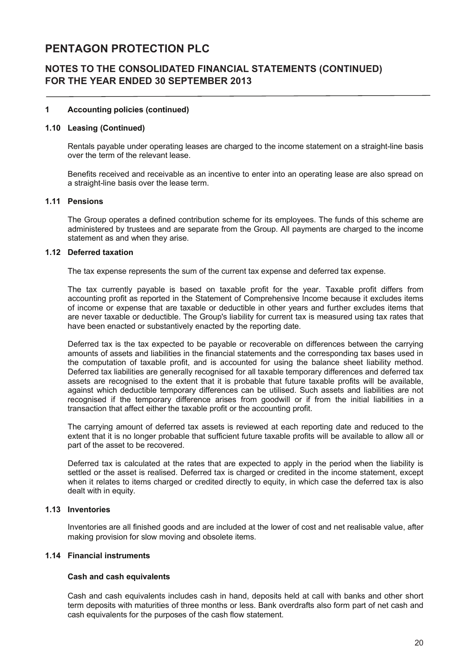## **NOTES TO THE CONSOLIDATED FINANCIAL STATEMENTS (CONTINUED) FOR THE YEAR ENDED 30 SEPTEMBER 2013**

### **1 Accounting policies (continued)**

### **1.10 Leasing (Continued)**

Rentals payable under operating leases are charged to the income statement on a straight-line basis over the term of the relevant lease.

Benefits received and receivable as an incentive to enter into an operating lease are also spread on a straight-line basis over the lease term.

### **1.11 Pensions**

The Group operates a defined contribution scheme for its employees. The funds of this scheme are administered by trustees and are separate from the Group. All payments are charged to the income statement as and when they arise.

### **1.12 Deferred taxation**

The tax expense represents the sum of the current tax expense and deferred tax expense.

The tax currently payable is based on taxable profit for the year. Taxable profit differs from accounting profit as reported in the Statement of Comprehensive Income because it excludes items of income or expense that are taxable or deductible in other years and further excludes items that are never taxable or deductible. The Group's liability for current tax is measured using tax rates that have been enacted or substantively enacted by the reporting date.

Deferred tax is the tax expected to be payable or recoverable on differences between the carrying amounts of assets and liabilities in the financial statements and the corresponding tax bases used in the computation of taxable profit, and is accounted for using the balance sheet liability method. Deferred tax liabilities are generally recognised for all taxable temporary differences and deferred tax assets are recognised to the extent that it is probable that future taxable profits will be available, against which deductible temporary differences can be utilised. Such assets and liabilities are not recognised if the temporary difference arises from goodwill or if from the initial liabilities in a transaction that affect either the taxable profit or the accounting profit.

The carrying amount of deferred tax assets is reviewed at each reporting date and reduced to the extent that it is no longer probable that sufficient future taxable profits will be available to allow all or part of the asset to be recovered.

Deferred tax is calculated at the rates that are expected to apply in the period when the liability is settled or the asset is realised. Deferred tax is charged or credited in the income statement, except when it relates to items charged or credited directly to equity, in which case the deferred tax is also dealt with in equity.

### **1.13 Inventories**

Inventories are all finished goods and are included at the lower of cost and net realisable value, after making provision for slow moving and obsolete items.

### **1.14 Financial instruments**

#### **Cash and cash equivalents**

Cash and cash equivalents includes cash in hand, deposits held at call with banks and other short term deposits with maturities of three months or less. Bank overdrafts also form part of net cash and cash equivalents for the purposes of the cash flow statement.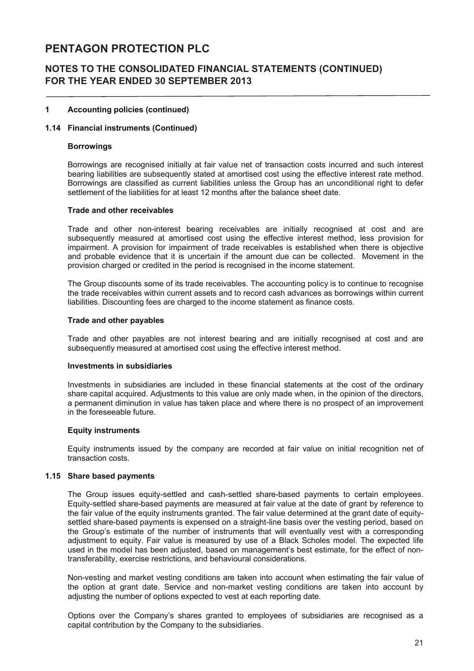## **NOTES TO THE CONSOLIDATED FINANCIAL STATEMENTS (CONTINUED) FOR THE YEAR ENDED 30 SEPTEMBER 2013**

### **1 Accounting policies (continued)**

### **1.14 Financial instruments (Continued)**

#### **Borrowings**

Borrowings are recognised initially at fair value net of transaction costs incurred and such interest bearing liabilities are subsequently stated at amortised cost using the effective interest rate method. Borrowings are classified as current liabilities unless the Group has an unconditional right to defer settlement of the liabilities for at least 12 months after the balance sheet date.

#### **Trade and other receivables**

Trade and other non-interest bearing receivables are initially recognised at cost and are subsequently measured at amortised cost using the effective interest method, less provision for impairment. A provision for impairment of trade receivables is established when there is objective and probable evidence that it is uncertain if the amount due can be collected. Movement in the provision charged or credited in the period is recognised in the income statement.

The Group discounts some of its trade receivables. The accounting policy is to continue to recognise the trade receivables within current assets and to record cash advances as borrowings within current liabilities. Discounting fees are charged to the income statement as finance costs.

#### **Trade and other payables**

Trade and other payables are not interest bearing and are initially recognised at cost and are subsequently measured at amortised cost using the effective interest method.

#### **Investments in subsidiaries**

Investments in subsidiaries are included in these financial statements at the cost of the ordinary share capital acquired. Adjustments to this value are only made when, in the opinion of the directors, a permanent diminution in value has taken place and where there is no prospect of an improvement in the foreseeable future.

### **Equity instruments**

Equity instruments issued by the company are recorded at fair value on initial recognition net of transaction costs.

#### **1.15 Share based payments**

The Group issues equity-settled and cash-settled share-based payments to certain employees. Equity-settled share-based payments are measured at fair value at the date of grant by reference to the fair value of the equity instruments granted. The fair value determined at the grant date of equitysettled share-based payments is expensed on a straight-line basis over the vesting period, based on the Group's estimate of the number of instruments that will eventually vest with a corresponding adjustment to equity. Fair value is measured by use of a Black Scholes model. The expected life used in the model has been adjusted, based on management's best estimate, for the effect of nontransferability, exercise restrictions, and behavioural considerations.

Non-vesting and market vesting conditions are taken into account when estimating the fair value of the option at grant date. Service and non-market vesting conditions are taken into account by adjusting the number of options expected to vest at each reporting date.

Options over the Companys shares granted to employees of subsidiaries are recognised as a capital contribution by the Company to the subsidiaries.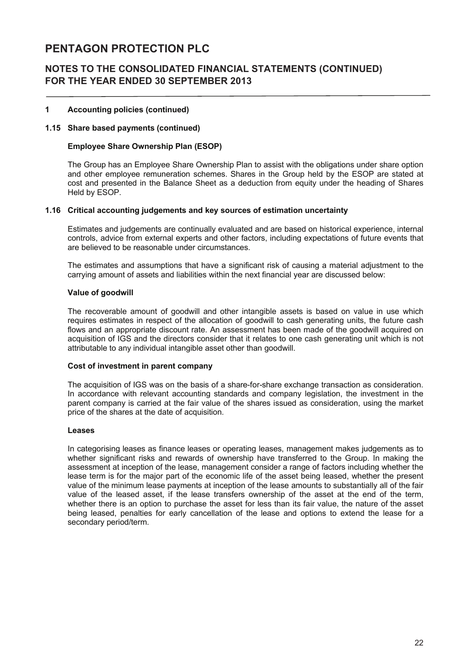## **NOTES TO THE CONSOLIDATED FINANCIAL STATEMENTS (CONTINUED) FOR THE YEAR ENDED 30 SEPTEMBER 2013**

### **1 Accounting policies (continued)**

### **1.15 Share based payments (continued)**

#### **Employee Share Ownership Plan (ESOP)**

The Group has an Employee Share Ownership Plan to assist with the obligations under share option and other employee remuneration schemes. Shares in the Group held by the ESOP are stated at cost and presented in the Balance Sheet as a deduction from equity under the heading of Shares Held by ESOP.

#### **1.16 Critical accounting judgements and key sources of estimation uncertainty**

Estimates and judgements are continually evaluated and are based on historical experience, internal controls, advice from external experts and other factors, including expectations of future events that are believed to be reasonable under circumstances.

The estimates and assumptions that have a significant risk of causing a material adjustment to the carrying amount of assets and liabilities within the next financial year are discussed below:

#### **Value of goodwill**

The recoverable amount of goodwill and other intangible assets is based on value in use which requires estimates in respect of the allocation of goodwill to cash generating units, the future cash flows and an appropriate discount rate. An assessment has been made of the goodwill acquired on acquisition of IGS and the directors consider that it relates to one cash generating unit which is not attributable to any individual intangible asset other than goodwill.

#### **Cost of investment in parent company**

The acquisition of IGS was on the basis of a share-for-share exchange transaction as consideration. In accordance with relevant accounting standards and company legislation, the investment in the parent company is carried at the fair value of the shares issued as consideration, using the market price of the shares at the date of acquisition.

#### **Leases**

In categorising leases as finance leases or operating leases, management makes judgements as to whether significant risks and rewards of ownership have transferred to the Group. In making the assessment at inception of the lease, management consider a range of factors including whether the lease term is for the major part of the economic life of the asset being leased, whether the present value of the minimum lease payments at inception of the lease amounts to substantially all of the fair value of the leased asset, if the lease transfers ownership of the asset at the end of the term, whether there is an option to purchase the asset for less than its fair value, the nature of the asset being leased, penalties for early cancellation of the lease and options to extend the lease for a secondary period/term.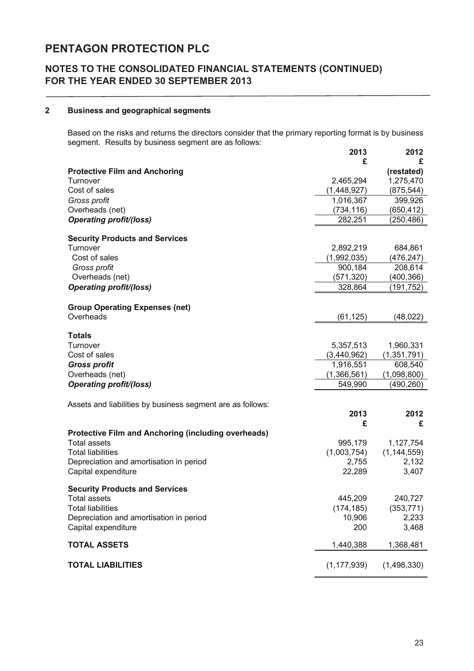## **NOTES TO THE CONSOLIDATED FINANCIAL STATEMENTS (CONTINUED) FOR THE YEAR ENDED 30 SEPTEMBER 2013**

### **2 Business and geographical segments**

Based on the risks and returns the directors consider that the primary reporting format is by business segment. Results by business segment are as follows:

|                                                            | 2013          | 2012          |
|------------------------------------------------------------|---------------|---------------|
|                                                            | £             | £             |
| <b>Protective Film and Anchoring</b>                       |               | (restated)    |
| Turnover                                                   | 2,465,294     | 1,275,470     |
| Cost of sales                                              | (1,448,927)   | (875, 544)    |
| Gross profit                                               | 1,016,367     | 399,926       |
| Overheads (net)                                            | (734, 116)    | (650, 412)    |
| <b>Operating profit/(loss)</b>                             | 282,251       | (250, 486)    |
|                                                            |               |               |
| <b>Security Products and Services</b>                      |               |               |
| Turnover                                                   | 2,892,219     | 684,861       |
| Cost of sales                                              | (1,992,035)   | (476, 247)    |
| Gross profit                                               | 900,184       | 208,614       |
| Overheads (net)                                            | (571, 320)    | (400, 366)    |
| <b>Operating profit/(loss)</b>                             | 328,864       | (191,752)     |
|                                                            |               |               |
| <b>Group Operating Expenses (net)</b>                      |               |               |
| Overheads                                                  | (61, 125)     | (48, 022)     |
| <b>Totals</b>                                              |               |               |
| Turnover                                                   | 5,357,513     |               |
| Cost of sales                                              |               | 1,960,331     |
|                                                            | (3,440,962)   | (1, 351, 791) |
| <b>Gross profit</b>                                        | 1,916,551     | 608,540       |
| Overheads (net)                                            | (1,366,561)   | (1,098,800)   |
| <b>Operating profit/(loss)</b>                             | 549,990       | (490, 260)    |
| Assets and liabilities by business segment are as follows: |               |               |
|                                                            | 2013          | 2012          |
|                                                            | £             | £             |
| <b>Protective Film and Anchoring (including overheads)</b> |               |               |
| <b>Total assets</b>                                        | 995,179       | 1,127,754     |
| <b>Total liabilities</b>                                   | (1,003,754)   | (1, 144, 559) |
| Depreciation and amortisation in period                    | 2,755         | 2,132         |
| Capital expenditure                                        | 22,289        | 3,407         |
|                                                            |               |               |
| <b>Security Products and Services</b>                      |               |               |
| Total assets                                               | 445,209       | 240,727       |
| <b>Total liabilities</b>                                   | (174, 185)    | (353, 771)    |
| Depreciation and amortisation in period                    | 10,906        | 2,233         |
| Capital expenditure                                        | 200           | 3,468         |
| <b>TOTAL ASSETS</b>                                        | 1,440,388     | 1,368,481     |
|                                                            |               |               |
| <b>TOTAL LIABILITIES</b>                                   | (1, 177, 939) | (1,498,330)   |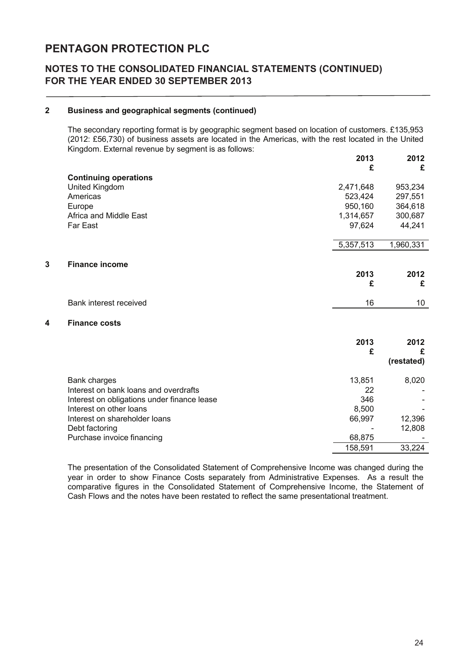## **NOTES TO THE CONSOLIDATED FINANCIAL STATEMENTS (CONTINUED) FOR THE YEAR ENDED 30 SEPTEMBER 2013**

### **2 Business and geographical segments (continued)**

The secondary reporting format is by geographic segment based on location of customers. £135,953 (2012: 56,730) of business assets are located in the Americas, with the rest located in the United Kingdom. External revenue by segment is as follows: **2013 2012**

|   |                                             | ⊷…        | ∸∪ ≀∸      |
|---|---------------------------------------------|-----------|------------|
|   |                                             | £         | £          |
|   | <b>Continuing operations</b>                |           |            |
|   | United Kingdom                              | 2,471,648 | 953,234    |
|   | Americas                                    | 523,424   | 297,551    |
|   | Europe                                      | 950,160   | 364,618    |
|   | Africa and Middle East                      | 1,314,657 | 300,687    |
|   | Far East                                    | 97,624    | 44,241     |
|   |                                             | 5,357,513 | 1,960,331  |
|   |                                             |           |            |
| 3 | <b>Finance income</b>                       |           |            |
|   |                                             | 2013      | 2012       |
|   |                                             | £         | £          |
|   | Bank interest received                      | 16        | 10         |
| 4 | <b>Finance costs</b>                        |           |            |
|   |                                             | 2013      | 2012       |
|   |                                             | £         | £          |
|   |                                             |           | (restated) |
|   | <b>Bank charges</b>                         | 13,851    | 8,020      |
|   | Interest on bank loans and overdrafts       | 22        |            |
|   | Interest on obligations under finance lease | 346       |            |
|   | Interest on other loans                     | 8,500     |            |
|   | Interest on shareholder loans               | 66,997    | 12,396     |
|   | Debt factoring                              |           | 12,808     |
|   | Purchase invoice financing                  | 68,875    |            |

The presentation of the Consolidated Statement of Comprehensive Income was changed during the year in order to show Finance Costs separately from Administrative Expenses. As a result the comparative figures in the Consolidated Statement of Comprehensive Income, the Statement of Cash Flows and the notes have been restated to reflect the same presentational treatment.

158,591 33,224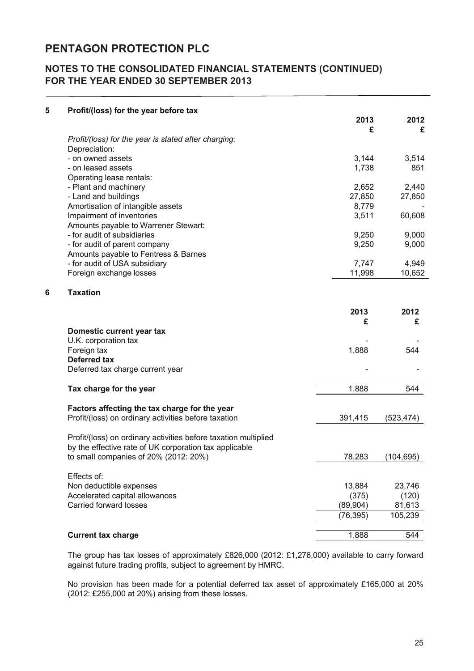## **NOTES TO THE CONSOLIDATED FINANCIAL STATEMENTS (CONTINUED) FOR THE YEAR ENDED 30 SEPTEMBER 2013**

| 5 | Profit/(loss) for the year before tax                                                                 | 2013      | 2012       |
|---|-------------------------------------------------------------------------------------------------------|-----------|------------|
|   |                                                                                                       | £         | £          |
|   | Profit/(loss) for the year is stated after charging:                                                  |           |            |
|   | Depreciation:                                                                                         |           |            |
|   | - on owned assets                                                                                     | 3,144     | 3,514      |
|   | - on leased assets                                                                                    | 1,738     | 851        |
|   | Operating lease rentals:                                                                              | 2,652     |            |
|   | - Plant and machinery                                                                                 |           | 2,440      |
|   | - Land and buildings                                                                                  | 27,850    | 27,850     |
|   | Amortisation of intangible assets                                                                     | 8,779     |            |
|   | Impairment of inventories                                                                             | 3,511     | 60,608     |
|   | Amounts payable to Warrener Stewart:                                                                  |           |            |
|   | - for audit of subsidiaries                                                                           | 9,250     | 9,000      |
|   | - for audit of parent company                                                                         | 9,250     | 9,000      |
|   | Amounts payable to Fentress & Barnes                                                                  |           |            |
|   | - for audit of USA subsidiary                                                                         | 7,747     | 4,949      |
|   | Foreign exchange losses                                                                               | 11,998    | 10,652     |
| 6 | <b>Taxation</b>                                                                                       |           |            |
|   |                                                                                                       | 2013      | 2012       |
|   |                                                                                                       | £         | £          |
|   | Domestic current year tax                                                                             |           |            |
|   | U.K. corporation tax                                                                                  |           |            |
|   | Foreign tax                                                                                           | 1,888     | 544        |
|   | <b>Deferred tax</b>                                                                                   |           |            |
|   | Deferred tax charge current year                                                                      |           |            |
|   | Tax charge for the year                                                                               | 1,888     | 544        |
|   |                                                                                                       |           |            |
|   | Factors affecting the tax charge for the year<br>Profit/(loss) on ordinary activities before taxation | 391,415   |            |
|   |                                                                                                       |           | (523,474)  |
|   | Profit/(loss) on ordinary activities before taxation multiplied                                       |           |            |
|   | by the effective rate of UK corporation tax applicable                                                |           |            |
|   | to small companies of $20\%$ (2012: $20\%$ )                                                          | 78,283    | (104, 695) |
|   |                                                                                                       |           |            |
|   | Effects of:                                                                                           |           |            |
|   | Non deductible expenses                                                                               | 13,884    | 23,746     |
|   | Accelerated capital allowances                                                                        | (375)     | (120)      |
|   | Carried forward losses                                                                                | (89, 904) | 81,613     |
|   |                                                                                                       | (76, 395) | 105,239    |
|   | <b>Current tax charge</b>                                                                             | 1,888     | 544        |
|   |                                                                                                       |           |            |

The group has tax losses of approximately £826,000 (2012: £1,276,000) available to carry forward against future trading profits, subject to agreement by HMRC.

No provision has been made for a potential deferred tax asset of approximately £165,000 at 20% (2012: 255,000 at 20%) arising from these losses.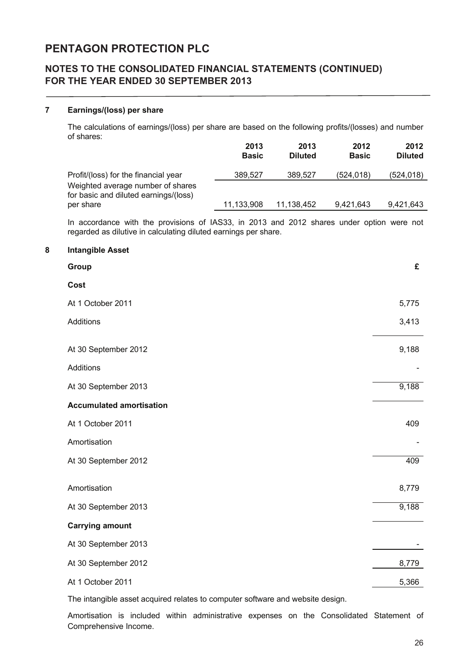## **NOTES TO THE CONSOLIDATED FINANCIAL STATEMENTS (CONTINUED) FOR THE YEAR ENDED 30 SEPTEMBER 2013**

### **7 Earnings/(loss) per share**

The calculations of earnings/(loss) per share are based on the following profits/(losses) and number of shares:

|                                                                                                                    | 2013<br><b>Basic</b> | 2013<br><b>Diluted</b> | 2012<br><b>Basic</b> | 2012<br><b>Diluted</b> |
|--------------------------------------------------------------------------------------------------------------------|----------------------|------------------------|----------------------|------------------------|
| Profit/(loss) for the financial year<br>Weighted average number of shares<br>for basic and diluted earnings/(loss) | 389.527              | 389.527                | (524,018)            | (524, 018)             |
| per share                                                                                                          | 11,133,908           | 11,138,452             | 9.421.643            | 9,421,643              |

In accordance with the provisions of IAS33, in 2013 and 2012 shares under option were not regarded as dilutive in calculating diluted earnings per share.

### **8 Intangible Asset**

| Group                                                                                                                                                                                                                | £     |
|----------------------------------------------------------------------------------------------------------------------------------------------------------------------------------------------------------------------|-------|
| Cost                                                                                                                                                                                                                 |       |
| At 1 October 2011                                                                                                                                                                                                    | 5,775 |
| Additions                                                                                                                                                                                                            | 3,413 |
| At 30 September 2012                                                                                                                                                                                                 | 9,188 |
| Additions                                                                                                                                                                                                            |       |
| At 30 September 2013                                                                                                                                                                                                 | 9,188 |
| <b>Accumulated amortisation</b>                                                                                                                                                                                      |       |
| At 1 October 2011                                                                                                                                                                                                    | 409   |
| Amortisation                                                                                                                                                                                                         |       |
| At 30 September 2012                                                                                                                                                                                                 | 409   |
| Amortisation                                                                                                                                                                                                         | 8,779 |
| At 30 September 2013                                                                                                                                                                                                 | 9,188 |
| <b>Carrying amount</b>                                                                                                                                                                                               |       |
| At 30 September 2013                                                                                                                                                                                                 |       |
| At 30 September 2012                                                                                                                                                                                                 | 8,779 |
| At 1 October 2011                                                                                                                                                                                                    | 5,366 |
| the contract of the contract of the contract of the contract of the contract of<br>the contract of the contract of the contract of the contract of the contract of the contract of the contract of<br><b>COLLEGE</b> |       |

The intangible asset acquired relates to computer software and website design.

Amortisation is included within administrative expenses on the Consolidated Statement of Comprehensive Income.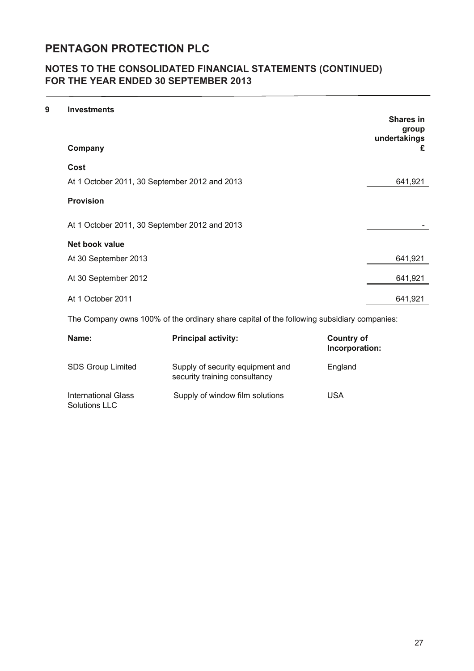## **NOTES TO THE CONSOLIDATED FINANCIAL STATEMENTS (CONTINUED) FOR THE YEAR ENDED 30 SEPTEMBER 2013**

| 9 | <b>Investments</b>                            | <b>Shares in</b><br>group |
|---|-----------------------------------------------|---------------------------|
|   | Company                                       | undertakings<br>£         |
|   | Cost                                          |                           |
|   | At 1 October 2011, 30 September 2012 and 2013 | 641,921                   |
|   | <b>Provision</b>                              |                           |
|   | At 1 October 2011, 30 September 2012 and 2013 |                           |
|   | Net book value                                |                           |
|   | At 30 September 2013                          | 641,921                   |
|   | At 30 September 2012                          | 641,921                   |
|   | At 1 October 2011                             | 641,921                   |

The Company owns 100% of the ordinary share capital of the following subsidiary companies:

| Name:                                       | <b>Principal activity:</b>                                        | <b>Country of</b><br>Incorporation: |
|---------------------------------------------|-------------------------------------------------------------------|-------------------------------------|
| <b>SDS Group Limited</b>                    | Supply of security equipment and<br>security training consultancy | England                             |
| International Glass<br><b>Solutions LLC</b> | Supply of window film solutions                                   | USA                                 |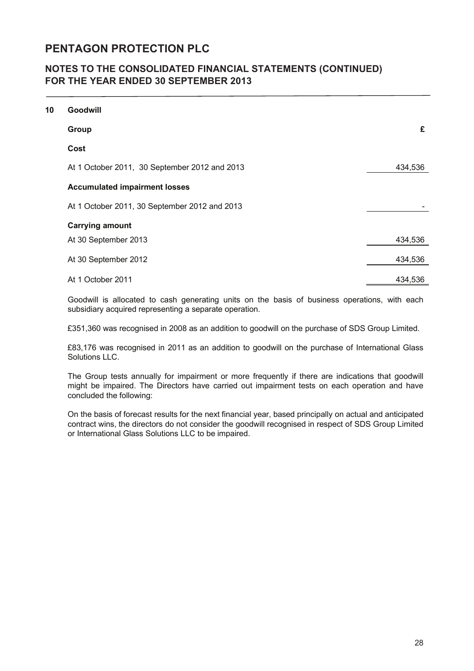**10 Goodwill**

## **NOTES TO THE CONSOLIDATED FINANCIAL STATEMENTS (CONTINUED) FOR THE YEAR ENDED 30 SEPTEMBER 2013**

| Goodwill                                      |         |
|-----------------------------------------------|---------|
| Group                                         | £       |
| Cost                                          |         |
| At 1 October 2011, 30 September 2012 and 2013 | 434,536 |
| <b>Accumulated impairment losses</b>          |         |
| At 1 October 2011, 30 September 2012 and 2013 |         |
| <b>Carrying amount</b>                        |         |
| At 30 September 2013                          | 434,536 |
| At 30 September 2012                          | 434,536 |
| At 1 October 2011                             | 434,536 |

Goodwill is allocated to cash generating units on the basis of business operations, with each subsidiary acquired representing a separate operation.

£351,360 was recognised in 2008 as an addition to goodwill on the purchase of SDS Group Limited.

83,176 was recognised in 2011 as an addition to goodwill on the purchase of International Glass Solutions LLC.

The Group tests annually for impairment or more frequently if there are indications that goodwill might be impaired. The Directors have carried out impairment tests on each operation and have concluded the following:

On the basis of forecast results for the next financial year, based principally on actual and anticipated contract wins, the directors do not consider the goodwill recognised in respect of SDS Group Limited or International Glass Solutions LLC to be impaired.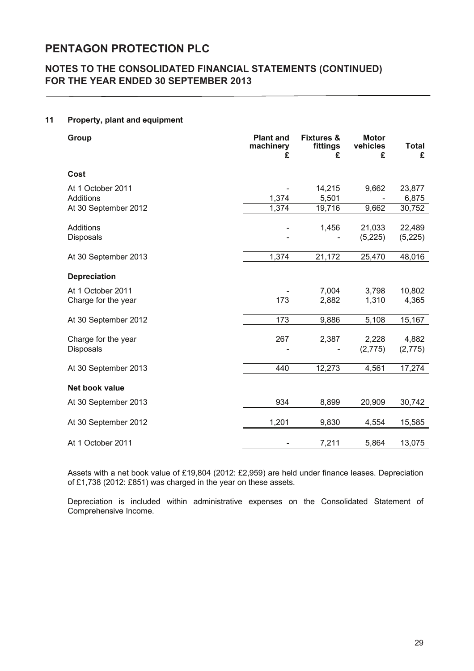## **NOTES TO THE CONSOLIDATED FINANCIAL STATEMENTS (CONTINUED) FOR THE YEAR ENDED 30 SEPTEMBER 2013**

### **11 Property, plant and equipment**

| Group                                                  | <b>Plant and</b><br>machinery<br>£ | <b>Fixtures &amp;</b><br>fittings<br>£ | <b>Motor</b><br>vehicles<br>£ | <b>Total</b><br>£         |
|--------------------------------------------------------|------------------------------------|----------------------------------------|-------------------------------|---------------------------|
| Cost                                                   |                                    |                                        |                               |                           |
| At 1 October 2011<br>Additions<br>At 30 September 2012 | 1,374<br>1,374                     | 14,215<br>5,501<br>19,716              | 9,662<br>9,662                | 23,877<br>6,875<br>30,752 |
| <b>Additions</b><br>Disposals                          |                                    | 1,456                                  | 21,033<br>(5,225)             | 22,489<br>(5,225)         |
| At 30 September 2013                                   | 1,374                              | 21,172                                 | 25,470                        | 48,016                    |
| <b>Depreciation</b>                                    |                                    |                                        |                               |                           |
| At 1 October 2011<br>Charge for the year               | 173                                | 7,004<br>2,882                         | 3,798<br>1,310                | 10,802<br>4,365           |
| At 30 September 2012                                   | 173                                | 9,886                                  | 5,108                         | 15,167                    |
| Charge for the year<br>Disposals                       | 267                                | 2,387                                  | 2,228<br>(2,775)              | 4,882<br>(2, 775)         |
| At 30 September 2013                                   | 440                                | 12,273                                 | 4,561                         | 17,274                    |
| Net book value                                         |                                    |                                        |                               |                           |
| At 30 September 2013                                   | 934                                | 8,899                                  | 20,909                        | 30,742                    |
| At 30 September 2012                                   | 1,201                              | 9,830                                  | 4,554                         | 15,585                    |
| At 1 October 2011                                      |                                    | 7,211                                  | 5,864                         | 13,075                    |

Assets with a net book value of £19,804 (2012: £2,959) are held under finance leases. Depreciation of £1,738 (2012: £851) was charged in the year on these assets.

Depreciation is included within administrative expenses on the Consolidated Statement of Comprehensive Income.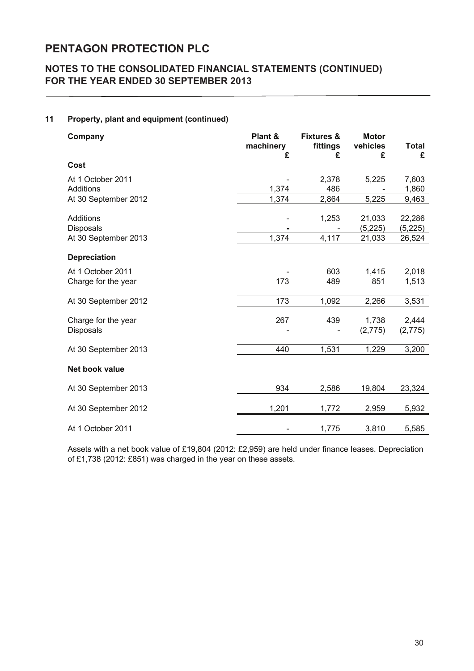# **NOTES TO THE CONSOLIDATED FINANCIAL STATEMENTS (CONTINUED) FOR THE YEAR ENDED 30 SEPTEMBER 2013**

### **11 Property, plant and equipment (continued)**

| Company                                  | Plant &<br>machinery<br>£ | <b>Fixtures &amp;</b><br>fittings<br>£ | <b>Motor</b><br>vehicles<br>£ | <b>Total</b><br>£  |
|------------------------------------------|---------------------------|----------------------------------------|-------------------------------|--------------------|
| Cost                                     |                           |                                        |                               |                    |
| At 1 October 2011<br>Additions           | 1,374                     | 2,378<br>486                           | 5,225                         | 7,603<br>1,860     |
| At 30 September 2012                     | 1,374                     | 2,864                                  | 5,225                         | 9,463              |
| <b>Additions</b><br>Disposals            |                           | 1,253                                  | 21,033<br>(5, 225)            | 22,286<br>(5, 225) |
| At 30 September 2013                     | 1,374                     | 4,117                                  | 21,033                        | 26,524             |
| <b>Depreciation</b>                      |                           |                                        |                               |                    |
| At 1 October 2011<br>Charge for the year | 173                       | 603<br>489                             | 1,415<br>851                  | 2,018<br>1,513     |
| At 30 September 2012                     | 173                       | 1,092                                  | 2,266                         | 3,531              |
| Charge for the year<br>Disposals         | 267                       | 439                                    | 1,738<br>(2,775)              | 2,444<br>(2,775)   |
| At 30 September 2013                     | 440                       | 1,531                                  | 1,229                         | 3,200              |
| <b>Net book value</b>                    |                           |                                        |                               |                    |
| At 30 September 2013                     | 934                       | 2,586                                  | 19,804                        | 23,324             |
| At 30 September 2012                     | 1,201                     | 1,772                                  | 2,959                         | 5,932              |
| At 1 October 2011                        |                           | 1,775                                  | 3,810                         | 5,585              |

Assets with a net book value of £19,804 (2012: £2,959) are held under finance leases. Depreciation of £1,738 (2012: £851) was charged in the year on these assets.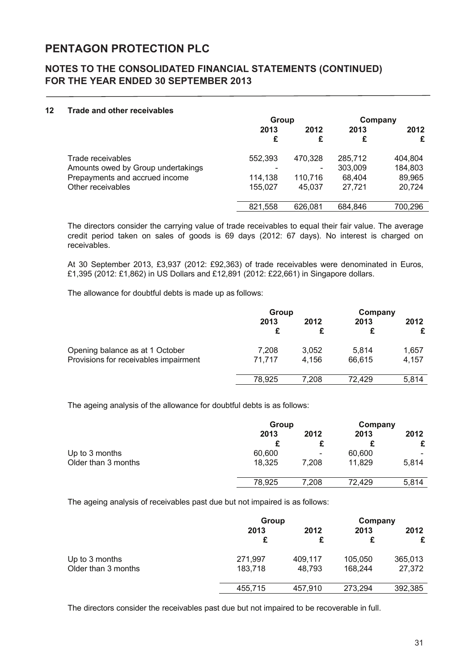## **NOTES TO THE CONSOLIDATED FINANCIAL STATEMENTS (CONTINUED) FOR THE YEAR ENDED 30 SEPTEMBER 2013**

### **12 Trade and other receivables**

|                                                                                           | Group              |                                                    | Company                      |                              |
|-------------------------------------------------------------------------------------------|--------------------|----------------------------------------------------|------------------------------|------------------------------|
|                                                                                           | 2013<br>£          | 2012<br>£                                          | 2013<br>£                    | 2012                         |
| Trade receivables<br>Amounts owed by Group undertakings<br>Prepayments and accrued income | 552,393<br>114,138 | 470,328<br>$\qquad \qquad \blacksquare$<br>110,716 | 285,712<br>303.009<br>68.404 | 404,804<br>184,803<br>89,965 |
| Other receivables                                                                         | 155.027            | 45.037                                             | 27.721                       | 20,724                       |
|                                                                                           | 821,558            | 626,081                                            | 684,846                      | 700,296                      |

The directors consider the carrying value of trade receivables to equal their fair value. The average credit period taken on sales of goods is 69 days (2012: 67 days). No interest is charged on receivables.

At 30 September 2013, £3,937 (2012: £92,363) of trade receivables were denominated in Euros, £1,395 (2012: £1,862) in US Dollars and £12,891 (2012: £22,661) in Singapore dollars.

The allowance for doubtful debts is made up as follows:

|                                                                          | Group           |                | Company         |                |
|--------------------------------------------------------------------------|-----------------|----------------|-----------------|----------------|
|                                                                          | 2013            | 2012<br>£      | 2013            | 2012<br>£      |
| Opening balance as at 1 October<br>Provisions for receivables impairment | 7,208<br>71.717 | 3.052<br>4,156 | 5.814<br>66.615 | 1,657<br>4,157 |
|                                                                          | 78,925          | 7,208          | 72,429          | 5,814          |

The ageing analysis of the allowance for doubtful debts is as follows:

|                     |        | Group                    |        | Company                  |
|---------------------|--------|--------------------------|--------|--------------------------|
|                     | 2013   | 2012                     | 2013   | 2012                     |
|                     |        |                          |        | £                        |
| Up to 3 months      | 60,600 | $\overline{\phantom{a}}$ | 60,600 | $\overline{\phantom{0}}$ |
| Older than 3 months | 18,325 | 7.208                    | 11,829 | 5,814                    |
|                     | 78,925 | 7.208                    | 72.429 | 5,814                    |

The ageing analysis of receivables past due but not impaired is as follows:

|                                       |                    | Group             |                    | Company           |
|---------------------------------------|--------------------|-------------------|--------------------|-------------------|
|                                       | 2013<br>£          | 2012<br>£         | 2013<br>£          | 2012              |
| Up to 3 months<br>Older than 3 months | 271,997<br>183,718 | 409,117<br>48,793 | 105,050<br>168.244 | 365,013<br>27,372 |
|                                       | 455,715            | 457,910           | 273,294            | 392,385           |

The directors consider the receivables past due but not impaired to be recoverable in full.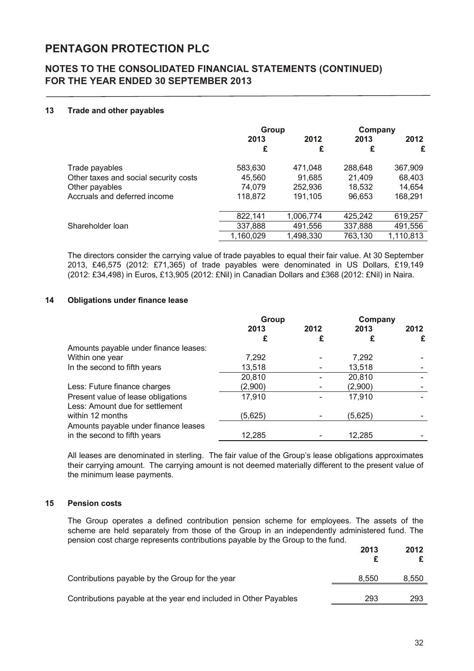## **NOTES TO THE CONSOLIDATED FINANCIAL STATEMENTS (CONTINUED) FOR THE YEAR ENDED 30 SEPTEMBER 2013**

### **13 Trade and other payables**

|                                       | Group     |           | Company |           |
|---------------------------------------|-----------|-----------|---------|-----------|
|                                       | 2013      | 2012      | 2013    | 2012      |
|                                       | £         | £         | £       | £         |
| Trade payables                        | 583,630   | 471.048   | 288,648 | 367,909   |
| Other taxes and social security costs | 45,560    | 91,685    | 21,409  | 68,403    |
| Other payables                        | 74,079    | 252,936   | 18,532  | 14,654    |
| Accruals and deferred income          | 118,872   | 191,105   | 96,653  | 168,291   |
|                                       | 822,141   | 1,006,774 | 425,242 | 619,257   |
| Shareholder Ioan                      | 337,888   | 491,556   | 337,888 | 491,556   |
|                                       | 1,160,029 | 1,498,330 | 763,130 | 1,110,813 |

The directors consider the carrying value of trade payables to equal their fair value. At 30 September 2013, £46,575 (2012: £71,365) of trade payables were denominated in US Dollars, £19,149 (2012: £34,498) in Euros, £13,905 (2012: £Nil) in Canadian Dollars and £368 (2012: £Nil) in Naira.

### **14 Obligations under finance lease**

|                                       | Group   |      | Company |      |
|---------------------------------------|---------|------|---------|------|
|                                       | 2013    | 2012 | 2013    | 2012 |
|                                       | £       | £    | £       | £    |
| Amounts payable under finance leases: |         |      |         |      |
| Within one year                       | 7.292   |      | 7.292   |      |
| In the second to fifth years          | 13,518  |      | 13,518  |      |
|                                       | 20,810  |      | 20,810  |      |
| Less: Future finance charges          | (2,900) |      | (2,900) |      |
| Present value of lease obligations    | 17,910  |      | 17,910  |      |
| Less: Amount due for settlement       |         |      |         |      |
| within 12 months                      | (5,625) |      | (5,625) |      |
| Amounts payable under finance leases  |         |      |         |      |
| in the second to fifth years          | 12,285  |      | 12,285  |      |

All leases are denominated in sterling. The fair value of the Group's lease obligations approximates their carrying amount. The carrying amount is not deemed materially different to the present value of the minimum lease payments.

### **15 Pension costs**

The Group operates a defined contribution pension scheme for employees. The assets of the scheme are held separately from those of the Group in an independently administered fund. The pension cost charge represents contributions payable by the Group to the fund.

|                                                                  | 2013  | 2012  |
|------------------------------------------------------------------|-------|-------|
| Contributions payable by the Group for the year                  | 8.550 | 8,550 |
| Contributions payable at the year end included in Other Payables | 293   | 293   |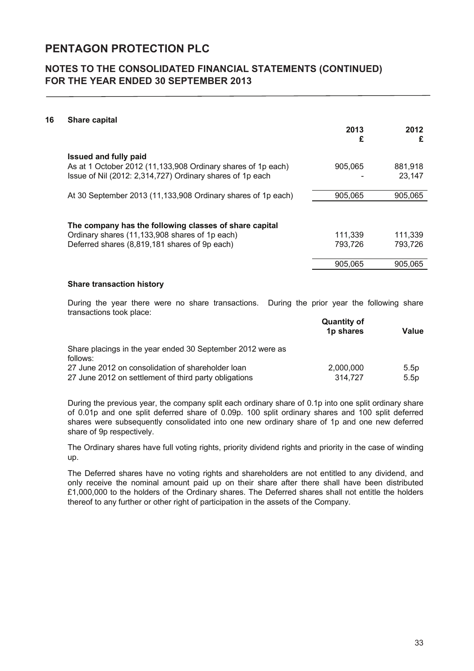### **NOTES TO THE CONSOLIDATED FINANCIAL STATEMENTS (CONTINUED) FOR THE YEAR ENDED 30 SEPTEMBER 2013**

### **16 Share capital**

|                                                                                                                                                           | 2013<br>£ | 2012<br>£         |
|-----------------------------------------------------------------------------------------------------------------------------------------------------------|-----------|-------------------|
| <b>Issued and fully paid</b><br>As at 1 October 2012 (11,133,908 Ordinary shares of 1p each)<br>Issue of Nil (2012: 2,314,727) Ordinary shares of 1p each | 905.065   | 881,918<br>23,147 |
| At 30 September 2013 (11,133,908 Ordinary shares of 1p each)                                                                                              | 905,065   | 905,065           |
| The company has the following classes of share capital<br>Ordinary shares (11,133,908 shares of 1p each)                                                  | 111,339   | 111,339           |
| Deferred shares (8,819,181 shares of 9p each)                                                                                                             | 793.726   | 793.726           |
|                                                                                                                                                           | 905,065   | 905,065           |

### **Share transaction history**

During the year there were no share transactions. During the prior year the following share transactions took place:

|                                                                        | <b>Quantity of</b><br>1p shares | Value |
|------------------------------------------------------------------------|---------------------------------|-------|
| Share placings in the year ended 30 September 2012 were as<br>follows: |                                 |       |
| 27 June 2012 on consolidation of shareholder loan                      | 2,000,000                       | 5.5p  |
| 27 June 2012 on settlement of third party obligations                  | 314.727                         | 5.5p  |

During the previous year, the company split each ordinary share of 0.1p into one split ordinary share of 0.01p and one split deferred share of 0.09p. 100 split ordinary shares and 100 split deferred shares were subsequently consolidated into one new ordinary share of 1p and one new deferred share of 9p respectively.

The Ordinary shares have full voting rights, priority dividend rights and priority in the case of winding up.

The Deferred shares have no voting rights and shareholders are not entitled to any dividend, and only receive the nominal amount paid up on their share after there shall have been distributed 1,000,000 to the holders of the Ordinary shares. The Deferred shares shall not entitle the holders thereof to any further or other right of participation in the assets of the Company.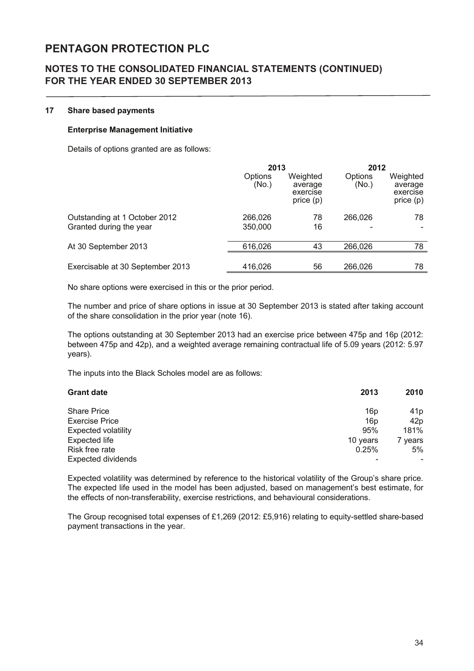## **NOTES TO THE CONSOLIDATED FINANCIAL STATEMENTS (CONTINUED) FOR THE YEAR ENDED 30 SEPTEMBER 2013**

### **17 Share based payments**

### **Enterprise Management Initiative**

Details of options granted are as follows:

|                                                          | 2013               |                                                | 2012             |                                                |
|----------------------------------------------------------|--------------------|------------------------------------------------|------------------|------------------------------------------------|
|                                                          | Options<br>(No.)   | Weighted<br>average<br>exercise<br>price $(p)$ | Options<br>(No.) | Weighted<br>average<br>exercise<br>price $(p)$ |
| Outstanding at 1 October 2012<br>Granted during the year | 266,026<br>350,000 | 78<br>16                                       | 266,026          | 78                                             |
| At 30 September 2013                                     | 616,026            | 43                                             | 266,026          | 78                                             |
| Exercisable at 30 September 2013                         | 416.026            | 56                                             | 266.026          | 78                                             |

No share options were exercised in this or the prior period.

The number and price of share options in issue at 30 September 2013 is stated after taking account of the share consolidation in the prior year (note 16).

The options outstanding at 30 September 2013 had an exercise price between 475p and 16p (2012: between 475p and 42p), and a weighted average remaining contractual life of 5.09 years (2012: 5.97 years).

The inputs into the Black Scholes model are as follows:

| <b>Grant date</b>          | 2013            | 2010            |
|----------------------------|-----------------|-----------------|
| <b>Share Price</b>         | 16p             | 41 <sub>p</sub> |
| Exercise Price             | 16 <sub>p</sub> | 42 <sub>p</sub> |
| <b>Expected volatility</b> | 95%             | 181%            |
| <b>Expected life</b>       | 10 years        | 7 years         |
| Risk free rate             | 0.25%           | 5%              |
| <b>Expected dividends</b>  |                 |                 |

Expected volatility was determined by reference to the historical volatility of the Group's share price. The expected life used in the model has been adjusted, based on management's best estimate, for the effects of non-transferability, exercise restrictions, and behavioural considerations.

The Group recognised total expenses of £1,269 (2012: £5,916) relating to equity-settled share-based payment transactions in the year.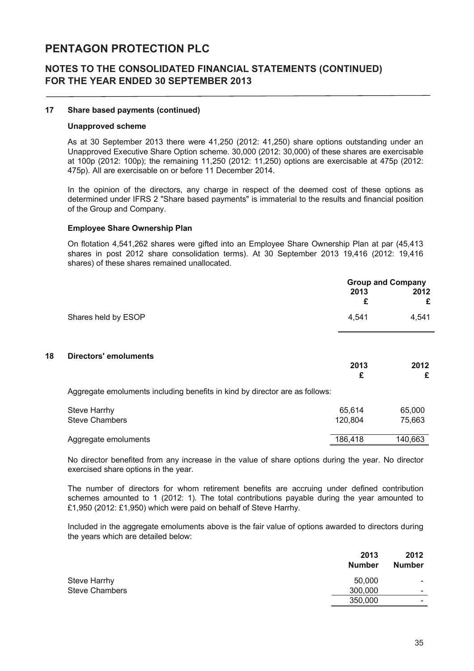### **NOTES TO THE CONSOLIDATED FINANCIAL STATEMENTS (CONTINUED) FOR THE YEAR ENDED 30 SEPTEMBER 2013**

#### **17 Share based payments (continued)**

### **Unapproved scheme**

As at 30 September 2013 there were 41,250 (2012: 41,250) share options outstanding under an Unapproved Executive Share Option scheme. 30,000 (2012: 30,000) of these shares are exercisable at 100p (2012: 100p); the remaining 11,250 (2012: 11,250) options are exercisable at 475p (2012: 475p). All are exercisable on or before 11 December 2014.

In the opinion of the directors, any charge in respect of the deemed cost of these options as determined under IFRS 2 "Share based payments" is immaterial to the results and financial position of the Group and Company.

#### **Employee Share Ownership Plan**

On flotation 4,541,262 shares were gifted into an Employee Share Ownership Plan at par (45,413 shares in post 2012 share consolidation terms). At 30 September 2013 19,416 (2012: 19,416 shares) of these shares remained unallocated.

|    |                                                                             | <b>Group and Company</b> |         |
|----|-----------------------------------------------------------------------------|--------------------------|---------|
|    |                                                                             | 2013                     | 2012    |
|    |                                                                             | £                        | £       |
|    | Shares held by ESOP                                                         | 4,541                    | 4,541   |
| 18 | <b>Directors' emoluments</b>                                                |                          |         |
|    |                                                                             | 2013                     | 2012    |
|    |                                                                             | £                        | £       |
|    | Aggregate emoluments including benefits in kind by director are as follows: |                          |         |
|    | <b>Steve Harrhy</b>                                                         | 65,614                   | 65,000  |
|    | <b>Steve Chambers</b>                                                       | 120,804                  | 75,663  |
|    | Aggregate emoluments                                                        | 186,418                  | 140,663 |

No director benefited from any increase in the value of share options during the year. No director exercised share options in the year.

The number of directors for whom retirement benefits are accruing under defined contribution schemes amounted to 1 (2012: 1). The total contributions payable during the year amounted to £1,950 (2012: £1,950) which were paid on behalf of Steve Harrhy.

Included in the aggregate emoluments above is the fair value of options awarded to directors during the years which are detailed below:

|                       | 2013<br><b>Number</b> | 2012<br><b>Number</b>        |
|-----------------------|-----------------------|------------------------------|
| Steve Harrhy          | 50,000                | $\overline{\phantom{a}}$     |
| <b>Steve Chambers</b> | 300,000               | $\overline{\phantom{a}}$     |
|                       | 350,000               | $\qquad \qquad \blacksquare$ |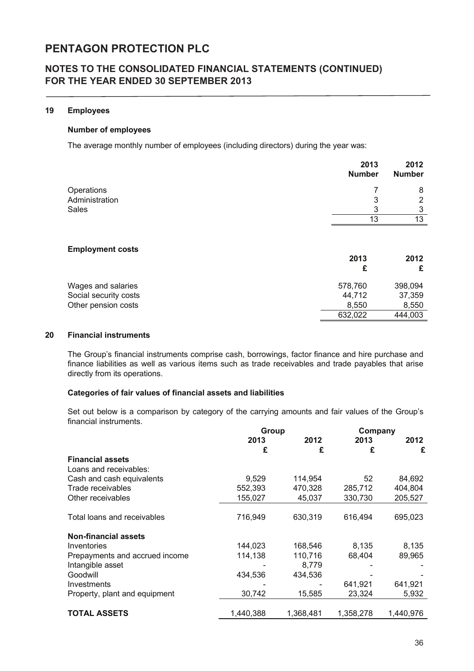## **NOTES TO THE CONSOLIDATED FINANCIAL STATEMENTS (CONTINUED) FOR THE YEAR ENDED 30 SEPTEMBER 2013**

### **19 Employees**

### **Number of employees**

The average monthly number of employees (including directors) during the year was:

|                         | 2013<br><b>Number</b> | 2012<br><b>Number</b> |
|-------------------------|-----------------------|-----------------------|
| Operations              | 7                     | 8                     |
| Administration          | 3                     | 2                     |
| <b>Sales</b>            | 3                     | 3                     |
|                         | 13                    | 13                    |
| <b>Employment costs</b> | 2013<br>£             | 2012<br>£             |
| Wages and salaries      | 578,760               | 398,094               |
| Social security costs   | 44,712                | 37,359                |
| Other pension costs     | 8,550                 | 8,550                 |
|                         | 632,022               | 444,003               |

### **20 Financial instruments**

The Group's financial instruments comprise cash, borrowings, factor finance and hire purchase and finance liabilities as well as various items such as trade receivables and trade payables that arise directly from its operations.

#### **Categories of fair values of financial assets and liabilities**

Set out below is a comparison by category of the carrying amounts and fair values of the Group's financial instruments.

|                                | Group     |           |           | Company   |  |
|--------------------------------|-----------|-----------|-----------|-----------|--|
|                                | 2013      | 2012      | 2013      | 2012      |  |
|                                | £         | £         | £         | £         |  |
| <b>Financial assets</b>        |           |           |           |           |  |
| Loans and receivables:         |           |           |           |           |  |
| Cash and cash equivalents      | 9,529     | 114,954   | 52        | 84,692    |  |
| Trade receivables              | 552,393   | 470,328   | 285,712   | 404,804   |  |
| Other receivables              | 155,027   | 45,037    | 330,730   | 205,527   |  |
| Total loans and receivables    | 716,949   | 630,319   | 616,494   | 695,023   |  |
| <b>Non-financial assets</b>    |           |           |           |           |  |
| Inventories                    | 144,023   | 168,546   | 8.135     | 8,135     |  |
|                                |           |           |           |           |  |
| Prepayments and accrued income | 114,138   | 110,716   | 68,404    | 89,965    |  |
| Intangible asset               |           | 8,779     |           |           |  |
| Goodwill                       | 434,536   | 434,536   |           |           |  |
| Investments                    |           |           | 641,921   | 641,921   |  |
| Property, plant and equipment  | 30,742    | 15,585    | 23,324    | 5,932     |  |
| <b>TOTAL ASSETS</b>            | 1,440,388 | 1,368,481 | 1,358,278 | 1,440,976 |  |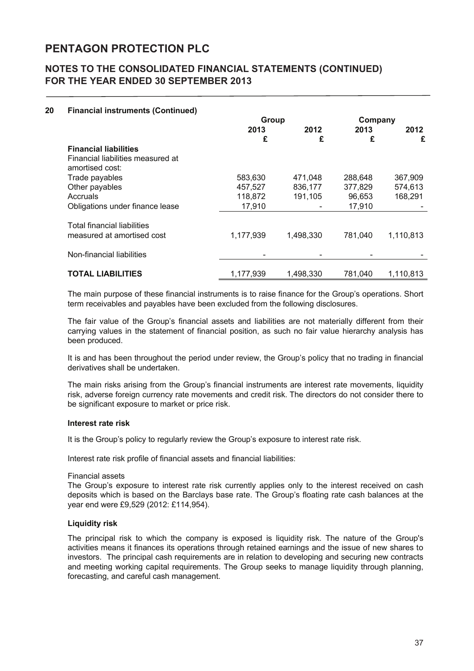## **NOTES TO THE CONSOLIDATED FINANCIAL STATEMENTS (CONTINUED) FOR THE YEAR ENDED 30 SEPTEMBER 2013**

### **20 Financial instruments (Continued)**

|                                                                  | Group     |           | Company |           |
|------------------------------------------------------------------|-----------|-----------|---------|-----------|
|                                                                  | 2013      | 2012      | 2013    | 2012      |
|                                                                  | £         | £         | £       | £         |
| <b>Financial liabilities</b>                                     |           |           |         |           |
| Financial liabilities measured at                                |           |           |         |           |
| amortised cost:                                                  |           |           |         |           |
| Trade payables                                                   | 583,630   | 471,048   | 288,648 | 367,909   |
| Other payables                                                   | 457,527   | 836,177   | 377,829 | 574.613   |
| Accruals                                                         | 118,872   | 191,105   | 96,653  | 168,291   |
| Obligations under finance lease                                  | 17,910    |           | 17,910  |           |
| <b>Total financial liabilities</b><br>measured at amortised cost | 1,177,939 | 1,498,330 | 781,040 | 1,110,813 |
|                                                                  |           |           |         |           |
| Non-financial liabilities                                        |           |           |         |           |
| <b>TOTAL LIABILITIES</b>                                         | 1,177,939 | 1,498,330 | 781,040 | 1,110,813 |

The main purpose of these financial instruments is to raise finance for the Group's operations. Short term receivables and payables have been excluded from the following disclosures.

The fair value of the Group's financial assets and liabilities are not materially different from their carrying values in the statement of financial position, as such no fair value hierarchy analysis has been produced.

It is and has been throughout the period under review, the Group's policy that no trading in financial derivatives shall be undertaken.

The main risks arising from the Group's financial instruments are interest rate movements, liquidity risk, adverse foreign currency rate movements and credit risk. The directors do not consider there to be significant exposure to market or price risk.

#### **Interest rate risk**

It is the Group's policy to regularly review the Group's exposure to interest rate risk.

Interest rate risk profile of financial assets and financial liabilities:

#### Financial assets

The Group's exposure to interest rate risk currently applies only to the interest received on cash deposits which is based on the Barclays base rate. The Group's floating rate cash balances at the year end were £9,529 (2012: £114,954).

#### **Liquidity risk**

The principal risk to which the company is exposed is liquidity risk. The nature of the Group's activities means it finances its operations through retained earnings and the issue of new shares to investors. The principal cash requirements are in relation to developing and securing new contracts and meeting working capital requirements. The Group seeks to manage liquidity through planning, forecasting, and careful cash management.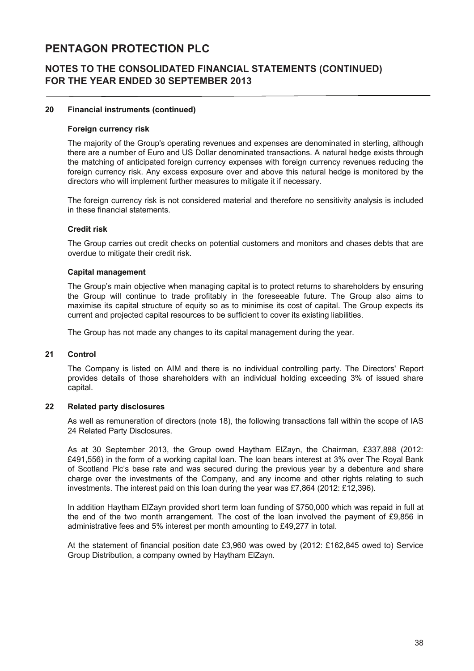## **NOTES TO THE CONSOLIDATED FINANCIAL STATEMENTS (CONTINUED) FOR THE YEAR ENDED 30 SEPTEMBER 2013**

### **20 Financial instruments (continued)**

### **Foreign currency risk**

The majority of the Group's operating revenues and expenses are denominated in sterling, although there are a number of Euro and US Dollar denominated transactions. A natural hedge exists through the matching of anticipated foreign currency expenses with foreign currency revenues reducing the foreign currency risk. Any excess exposure over and above this natural hedge is monitored by the directors who will implement further measures to mitigate it if necessary.

The foreign currency risk is not considered material and therefore no sensitivity analysis is included in these financial statements.

#### **Credit risk**

The Group carries out credit checks on potential customers and monitors and chases debts that are overdue to mitigate their credit risk.

#### **Capital management**

The Group's main objective when managing capital is to protect returns to shareholders by ensuring the Group will continue to trade profitably in the foreseeable future. The Group also aims to maximise its capital structure of equity so as to minimise its cost of capital. The Group expects its current and projected capital resources to be sufficient to cover its existing liabilities.

The Group has not made any changes to its capital management during the year.

### **21 Control**

The Company is listed on AIM and there is no individual controlling party. The Directors' Report provides details of those shareholders with an individual holding exceeding 3% of issued share capital.

### **22 Related party disclosures**

As well as remuneration of directors (note 18), the following transactions fall within the scope of IAS 24 Related Party Disclosures.

As at 30 September 2013, the Group owed Haytham ElZayn, the Chairman, £337,888 (2012: £491,556) in the form of a working capital loan. The loan bears interest at 3% over The Royal Bank of Scotland Plc's base rate and was secured during the previous year by a debenture and share charge over the investments of the Company, and any income and other rights relating to such investments. The interest paid on this loan during the year was £7,864 (2012: £12,396).

In addition Haytham ElZayn provided short term loan funding of \$750,000 which was repaid in full at the end of the two month arrangement. The cost of the loan involved the payment of  $E9,856$  in administrative fees and 5% interest per month amounting to £49,277 in total.

At the statement of financial position date  $£3.960$  was owed by (2012: £162,845 owed to) Service Group Distribution, a company owned by Haytham ElZayn.